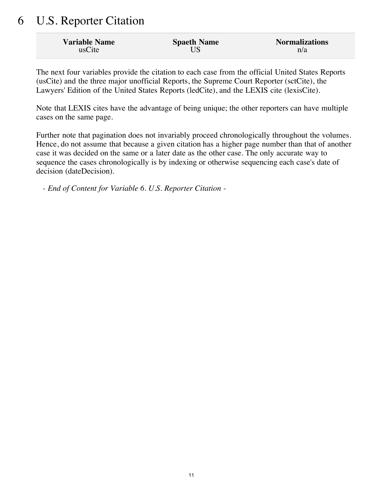# 6 U.S. Reporter Citation

| <b>Variable Name</b> | <b>Spaeth Name</b> | <b>Normalizations</b> |
|----------------------|--------------------|-----------------------|
| usCite               |                    | n/a                   |

The next four variables provide the citation to each case from the official United States Reports (usCite) and the three major unofficial Reports, the Supreme Court Reporter (sctCite), the Lawyers' Edition of the United States Reports (ledCite), and the LEXIS cite (lexisCite).

Note that LEXIS cites have the advantage of being unique; the other reporters can have multiple cases on the same page.

Further note that pagination does not invariably proceed chronologically throughout the volumes. Hence, do not assume that because a given citation has a higher page number than that of another case it was decided on the same or a later date as the other case. The only accurate way to sequence the cases chronologically is by indexing or otherwise sequencing each case's date of decision (dateDecision).

*- End of Content for Variable 6. U.S. Reporter Citation -*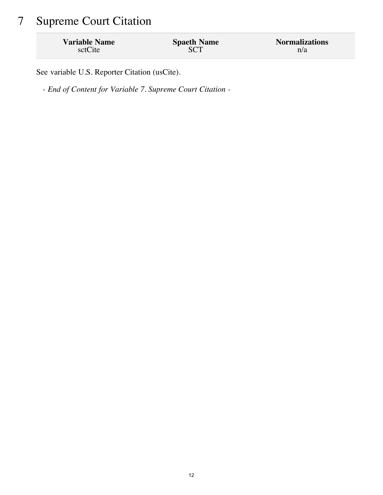# 7 Supreme Court Citation

| <b>Variable Name</b> | <b>Spaeth Name</b> | <b>Normalizations</b> |
|----------------------|--------------------|-----------------------|
| sctCite              | <b>SCT</b>         | n/a                   |

See variable U.S. Reporter Citation (usCite).

*- End of Content for Variable 7. Supreme Court Citation -*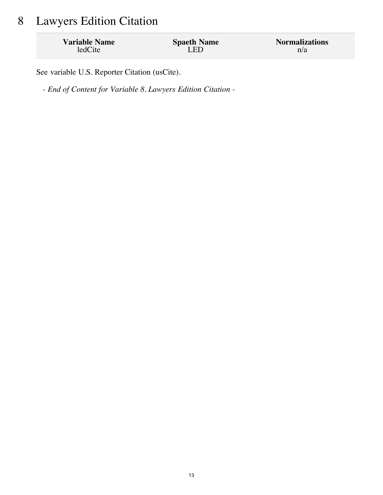## 8 Lawyers Edition Citation

| <b>Variable Name</b> | <b>Spaeth Name</b> | <b>Normalizations</b> |
|----------------------|--------------------|-----------------------|
| ledCite              | LED                | n/a                   |

See variable U.S. Reporter Citation (usCite).

*- End of Content for Variable 8. Lawyers Edition Citation -*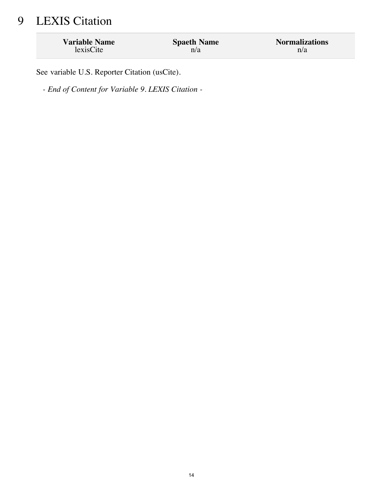# 9 LEXIS Citation

| <b>Variable Name</b> | <b>Spaeth Name</b> | <b>Normalizations</b> |
|----------------------|--------------------|-----------------------|
| lexisCite            | n/a                | n/a                   |

See variable U.S. Reporter Citation (usCite).

*- End of Content for Variable 9. LEXIS Citation -*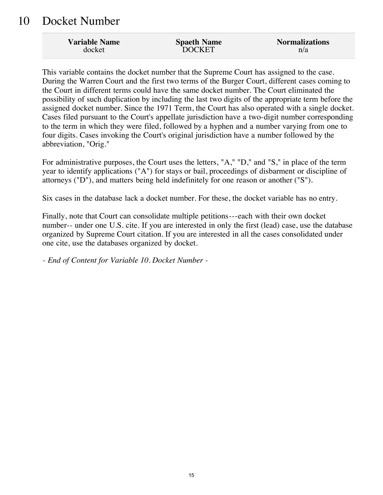#### 10 Docket Number

| <b>Variable Name</b> | <b>Spaeth Name</b> | <b>Normalizations</b> |
|----------------------|--------------------|-----------------------|
| docket               | <b>DOCKET</b>      | n/a                   |

This variable contains the docket number that the Supreme Court has assigned to the case. During the Warren Court and the first two terms of the Burger Court, different cases coming to the Court in different terms could have the same docket number. The Court eliminated the possibility of such duplication by including the last two digits of the appropriate term before the assigned docket number. Since the 1971 Term, the Court has also operated with a single docket. Cases filed pursuant to the Court's appellate jurisdiction have a two-digit number corresponding to the term in which they were filed, followed by a hyphen and a number varying from one to four digits. Cases invoking the Court's original jurisdiction have a number followed by the abbreviation, "Orig."

For administrative purposes, the Court uses the letters, "A," "D," and "S," in place of the term year to identify applications ("A") for stays or bail, proceedings of disbarment or discipline of attorneys ("D"), and matters being held indefinitely for one reason or another ("S").

Six cases in the database lack a docket number. For these, the docket variable has no entry.

Finally, note that Court can consolidate multiple petitions---each with their own docket number-- under one U.S. cite. If you are interested in only the first (lead) case, use the database organized by Supreme Court citation. If you are interested in all the cases consolidated under one cite, use the databases organized by docket.

*- End of Content for Variable 10. Docket Number -*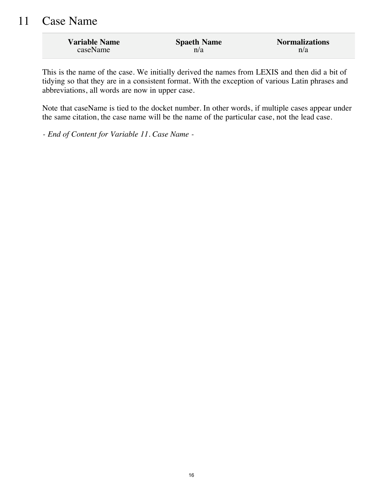#### 11 Case Name

| <b>Variable Name</b> | <b>Spaeth Name</b> | <b>Normalizations</b> |
|----------------------|--------------------|-----------------------|
| caseName             | n/a                | n/a                   |

This is the name of the case. We initially derived the names from LEXIS and then did a bit of tidying so that they are in a consistent format. With the exception of various Latin phrases and abbreviations, all words are now in upper case.

Note that caseName is tied to the docket number. In other words, if multiple cases appear under the same citation, the case name will be the name of the particular case, not the lead case.

*- End of Content for Variable 11. Case Name -*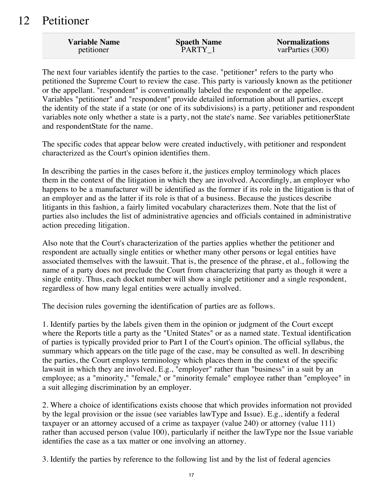#### 12 Petitioner

| <b>Variable Name</b> | <b>Spaeth Name</b> | <b>Normalizations</b> |
|----------------------|--------------------|-----------------------|
| petitioner           | PARTY 1            | varParties (300)      |

The next four variables identify the parties to the case. "petitioner" refers to the party who petitioned the Supreme Court to review the case. This party is variously known as the petitioner or the appellant. "respondent" is conventionally labeled the respondent or the appellee. Variables "petitioner" and "respondent" provide detailed information about all parties, except the identity of the state if a state (or one of its subdivisions) is a party, petitioner and respondent variables note only whether a state is a party, not the state's name. See variables petitionerState and respondentState for the name.

The specific codes that appear below were created inductively, with petitioner and respondent characterized as the Court's opinion identifies them.

In describing the parties in the cases before it, the justices employ terminology which places them in the context of the litigation in which they are involved. Accordingly, an employer who happens to be a manufacturer will be identified as the former if its role in the litigation is that of an employer and as the latter if its role is that of a business. Because the justices describe litigants in this fashion, a fairly limited vocabulary characterizes them. Note that the list of parties also includes the list of administrative agencies and officials contained in administrative action preceding litigation.

Also note that the Court's characterization of the parties applies whether the petitioner and respondent are actually single entities or whether many other persons or legal entities have associated themselves with the lawsuit. That is, the presence of the phrase, et al., following the name of a party does not preclude the Court from characterizing that party as though it were a single entity. Thus, each docket number will show a single petitioner and a single respondent, regardless of how many legal entities were actually involved.

The decision rules governing the identification of parties are as follows.

1. Identify parties by the labels given them in the opinion or judgment of the Court except where the Reports title a party as the "United States" or as a named state. Textual identification of parties is typically provided prior to Part I of the Court's opinion. The official syllabus, the summary which appears on the title page of the case, may be consulted as well. In describing the parties, the Court employs terminology which places them in the context of the specific lawsuit in which they are involved. E.g., "employer" rather than "business" in a suit by an employee; as a "minority," "female," or "minority female" employee rather than "employee" in a suit alleging discrimination by an employer.

2. Where a choice of identifications exists choose that which provides information not provided by the legal provision or the issue (see variables lawType and Issue). E.g., identify a federal taxpayer or an attorney accused of a crime as taxpayer (value 240) or attorney (value 111) rather than accused person (value 100), particularly if neither the lawType nor the Issue variable identifies the case as a tax matter or one involving an attorney.

3. Identify the parties by reference to the following list and by the list of federal agencies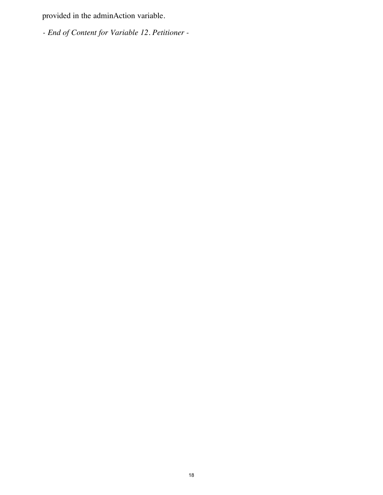provided in the adminAction variable.

*- End of Content for Variable 12. Petitioner -*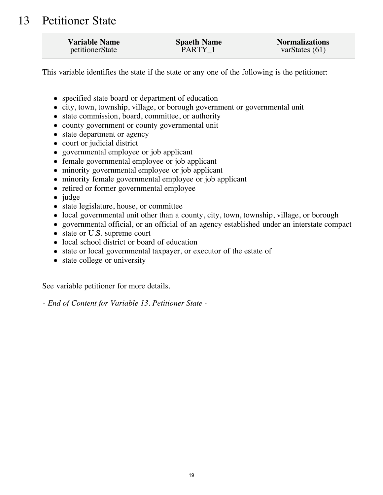#### 13 Petitioner State

| <b>Variable Name</b> | <b>Spaeth Name</b> | <b>Normalizations</b> |
|----------------------|--------------------|-----------------------|
| petitionerState      | PARTY 1            | varStates $(61)$      |

This variable identifies the state if the state or any one of the following is the petitioner:

- specified state board or department of education
- city, town, township, village, or borough government or governmental unit
- state commission, board, committee, or authority
- county government or county governmental unit
- state department or agency
- court or judicial district
- governmental employee or job applicant
- female governmental employee or job applicant
- minority governmental employee or job applicant
- minority female governmental employee or job applicant
- retired or former governmental employee
- $\bullet$  judge
- state legislature, house, or committee
- local governmental unit other than a county, city, town, township, village, or borough
- governmental official, or an official of an agency established under an interstate compact
- state or U.S. supreme court
- local school district or board of education
- state or local governmental taxpayer, or executor of the estate of
- state college or university

See variable petitioner for more details.

*- End of Content for Variable 13. Petitioner State -*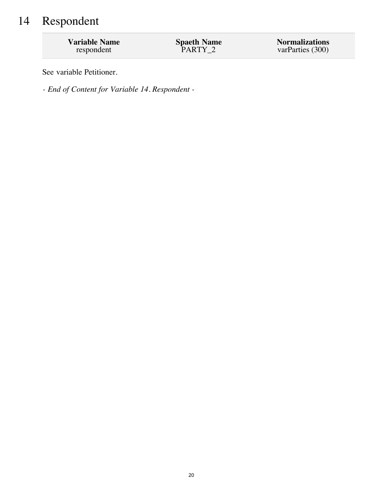# 14 Respondent

| <b>Variable Name</b> | <b>Spaeth Name</b> | <b>Normalizations</b> |
|----------------------|--------------------|-----------------------|
| respondent           | PARTY 2            | varParties (300)      |

See variable Petitioner.

*- End of Content for Variable 14. Respondent -*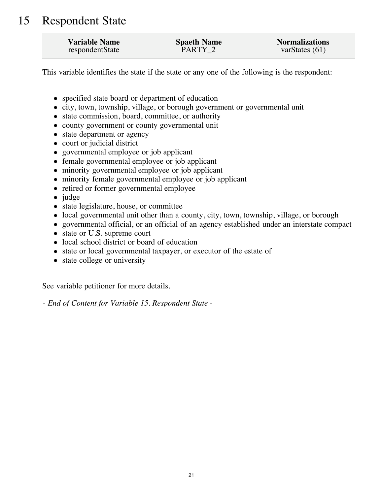### 15 Respondent State

| <b>Variable Name</b> | <b>Spaeth Name</b> | <b>Normalizations</b> |
|----------------------|--------------------|-----------------------|
| respondentState      | PARTY <sub>2</sub> | varStates $(61)$      |

This variable identifies the state if the state or any one of the following is the respondent:

- specified state board or department of education
- city, town, township, village, or borough government or governmental unit
- state commission, board, committee, or authority
- county government or county governmental unit
- state department or agency
- court or judicial district
- governmental employee or job applicant
- female governmental employee or job applicant
- minority governmental employee or job applicant
- minority female governmental employee or job applicant
- retired or former governmental employee
- $\bullet$  judge
- state legislature, house, or committee
- local governmental unit other than a county, city, town, township, village, or borough
- governmental official, or an official of an agency established under an interstate compact
- state or U.S. supreme court
- local school district or board of education
- state or local governmental taxpayer, or executor of the estate of
- state college or university

See variable petitioner for more details.

*- End of Content for Variable 15. Respondent State -*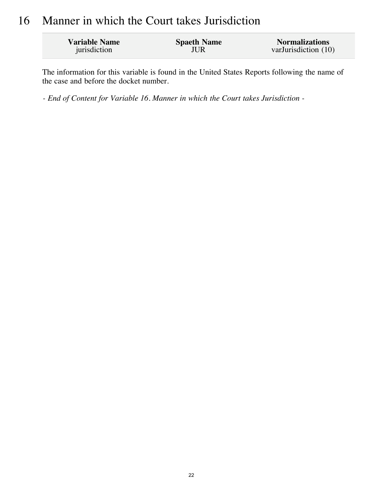#### 16 Manner in which the Court takes Jurisdiction

| <b>Variable Name</b> | <b>Spaeth Name</b> | <b>Normalizations</b> |
|----------------------|--------------------|-----------------------|
| jurisdiction         | JUR                | varJurisdiction (10)  |

The information for this variable is found in the United States Reports following the name of the case and before the docket number.

*- End of Content for Variable 16. Manner in which the Court takes Jurisdiction -*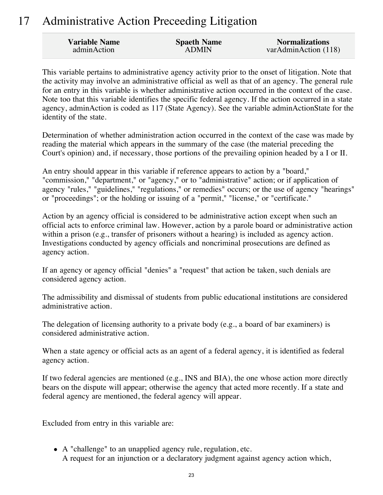## 17 Administrative Action Preceeding Litigation

| <b>Variable Name</b> | <b>Spaeth Name</b> | <b>Normalizations</b> |
|----------------------|--------------------|-----------------------|
| adminAction          | <b>ADMIN</b>       | varAdminAction (118)  |

This variable pertains to administrative agency activity prior to the onset of litigation. Note that the activity may involve an administrative official as well as that of an agency. The general rule for an entry in this variable is whether administrative action occurred in the context of the case. Note too that this variable identifies the specific federal agency. If the action occurred in a state agency, adminAction is coded as 117 (State Agency). See the variable adminActionState for the identity of the state.

Determination of whether administration action occurred in the context of the case was made by reading the material which appears in the summary of the case (the material preceding the Court's opinion) and, if necessary, those portions of the prevailing opinion headed by a I or II.

An entry should appear in this variable if reference appears to action by a "board," "commission," "department," or "agency," or to "administrative" action; or if application of agency "rules," "guidelines," "regulations," or remedies" occurs; or the use of agency "hearings" or "proceedings"; or the holding or issuing of a "permit," "license," or "certificate."

Action by an agency official is considered to be administrative action except when such an official acts to enforce criminal law. However, action by a parole board or administrative action within a prison (e.g., transfer of prisoners without a hearing) is included as agency action. Investigations conducted by agency officials and noncriminal prosecutions are defined as agency action.

If an agency or agency official "denies" a "request" that action be taken, such denials are considered agency action.

The admissibility and dismissal of students from public educational institutions are considered administrative action.

The delegation of licensing authority to a private body (e.g., a board of bar examiners) is considered administrative action.

When a state agency or official acts as an agent of a federal agency, it is identified as federal agency action.

If two federal agencies are mentioned (e.g., INS and BIA), the one whose action more directly bears on the dispute will appear; otherwise the agency that acted more recently. If a state and federal agency are mentioned, the federal agency will appear.

Excluded from entry in this variable are:

A "challenge" to an unapplied agency rule, regulation, etc. A request for an injunction or a declaratory judgment against agency action which,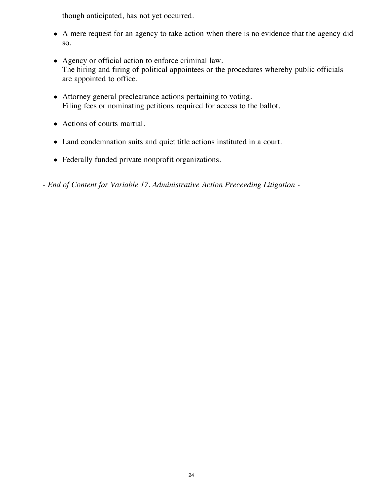though anticipated, has not yet occurred.

- A mere request for an agency to take action when there is no evidence that the agency did so.
- Agency or official action to enforce criminal law. The hiring and firing of political appointees or the procedures whereby public officials are appointed to office.
- Attorney general preclearance actions pertaining to voting. Filing fees or nominating petitions required for access to the ballot.
- Actions of courts martial.
- Land condemnation suits and quiet title actions instituted in a court.
- Federally funded private nonprofit organizations.
- *End of Content for Variable 17. Administrative Action Preceeding Litigation -*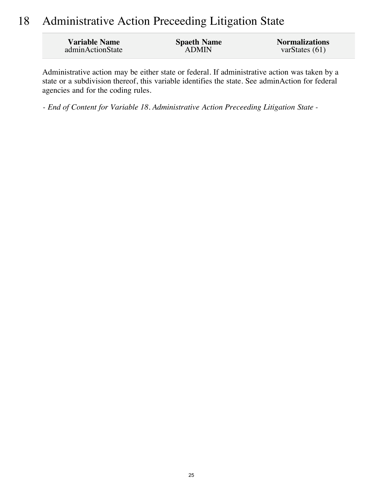## 18 Administrative Action Preceeding Litigation State

| <b>Variable Name</b> | <b>Spaeth Name</b> | <b>Normalizations</b> |
|----------------------|--------------------|-----------------------|
| adminActionState     | <b>ADMIN</b>       | var $States(61)$      |

Administrative action may be either state or federal. If administrative action was taken by a state or a subdivision thereof, this variable identifies the state. See adminAction for federal agencies and for the coding rules.

*- End of Content for Variable 18. Administrative Action Preceeding Litigation State -*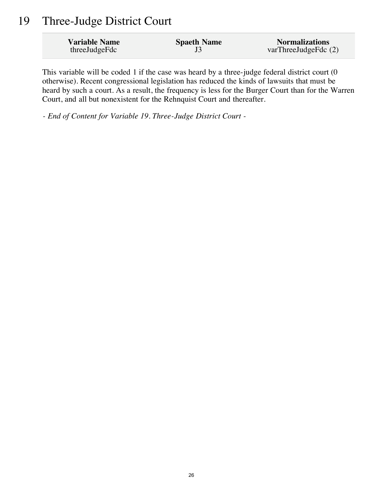#### 19 Three-Judge District Court

| <b>Variable Name</b> | <b>Spaeth Name</b> | <b>Normalizations</b>  |
|----------------------|--------------------|------------------------|
| threeJudgeFdc        |                    | varThreeJudgeFdc $(2)$ |

This variable will be coded 1 if the case was heard by a three-judge federal district court (0 otherwise). Recent congressional legislation has reduced the kinds of lawsuits that must be heard by such a court. As a result, the frequency is less for the Burger Court than for the Warren Court, and all but nonexistent for the Rehnquist Court and thereafter.

*- End of Content for Variable 19. Three-Judge District Court -*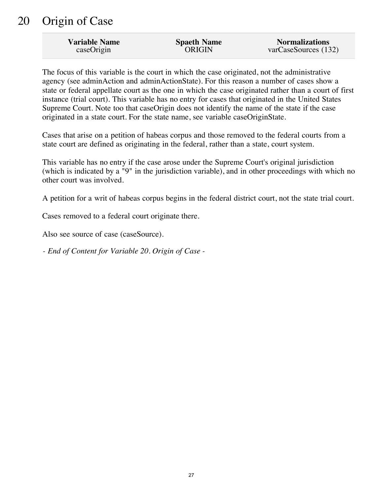#### 20 Origin of Case

| <b>Variable Name</b> | <b>Spaeth Name</b> | <b>Normalizations</b> |
|----------------------|--------------------|-----------------------|
| caseOrigin           | <b>ORIGIN</b>      | varCaseSources (132)  |

The focus of this variable is the court in which the case originated, not the administrative agency (see adminAction and adminActionState). For this reason a number of cases show a state or federal appellate court as the one in which the case originated rather than a court of first instance (trial court). This variable has no entry for cases that originated in the United States Supreme Court. Note too that caseOrigin does not identify the name of the state if the case originated in a state court. For the state name, see variable caseOriginState.

Cases that arise on a petition of habeas corpus and those removed to the federal courts from a state court are defined as originating in the federal, rather than a state, court system.

This variable has no entry if the case arose under the Supreme Court's original jurisdiction (which is indicated by a "9" in the jurisdiction variable), and in other proceedings with which no other court was involved.

A petition for a writ of habeas corpus begins in the federal district court, not the state trial court.

Cases removed to a federal court originate there.

Also see source of case (caseSource).

*- End of Content for Variable 20. Origin of Case -*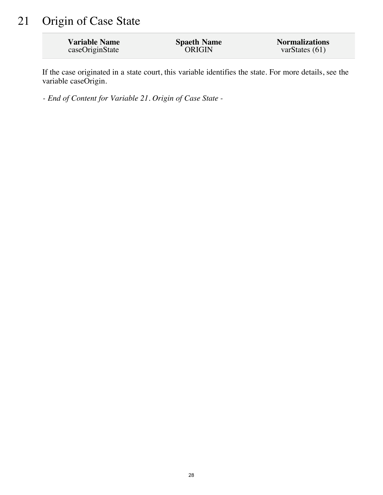## 21 Origin of Case State

| <b>Variable Name</b> | <b>Spaeth Name</b> | <b>Normalizations</b> |
|----------------------|--------------------|-----------------------|
| caseOriginState      | <b>ORIGIN</b>      | varStates $(61)$      |

If the case originated in a state court, this variable identifies the state. For more details, see the variable caseOrigin.

*- End of Content for Variable 21. Origin of Case State -*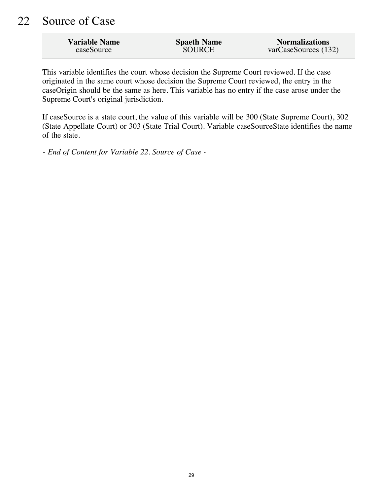| <b>Variable Name</b> | <b>Spaeth Name</b> | <b>Normalizations</b> |
|----------------------|--------------------|-----------------------|
| caseSource           | <b>SOURCE</b>      | varCaseSources (132)  |

This variable identifies the court whose decision the Supreme Court reviewed. If the case originated in the same court whose decision the Supreme Court reviewed, the entry in the caseOrigin should be the same as here. This variable has no entry if the case arose under the Supreme Court's original jurisdiction.

If caseSource is a state court, the value of this variable will be 300 (State Supreme Court), 302 (State Appellate Court) or 303 (State Trial Court). Variable caseSourceState identifies the name of the state.

*- End of Content for Variable 22. Source of Case -*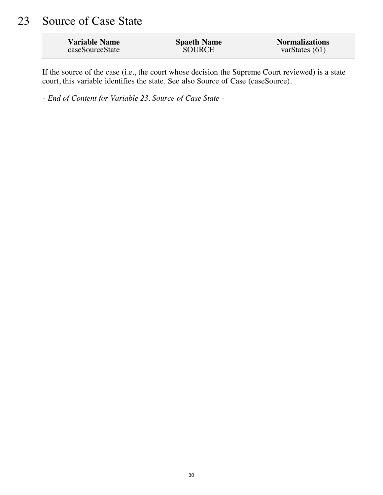## 23 Source of Case State

| <b>Variable Name</b> | <b>Spaeth Name</b> | <b>Normalizations</b> |
|----------------------|--------------------|-----------------------|
| caseSourceState      | <b>SOURCE</b>      | varStates $(61)$      |

If the source of the case (i.e., the court whose decision the Supreme Court reviewed) is a state court, this variable identifies the state. See also Source of Case (caseSource).

*- End of Content for Variable 23. Source of Case State -*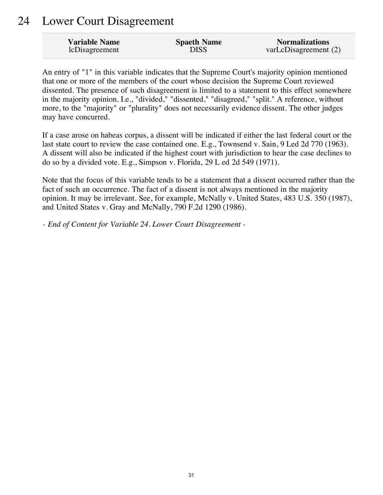#### 24 Lower Court Disagreement

| <b>Variable Name</b> | <b>Spaeth Name</b> | <b>Normalizations</b> |
|----------------------|--------------------|-----------------------|
| lcDisagreement       | <b>DISS</b>        | varLcDisagreement (2) |

An entry of "1" in this variable indicates that the Supreme Court's majority opinion mentioned that one or more of the members of the court whose decision the Supreme Court reviewed dissented. The presence of such disagreement is limited to a statement to this effect somewhere in the majority opinion. I.e., "divided," "dissented," "disagreed," "split." A reference, without more, to the "majority" or "plurality" does not necessarily evidence dissent. The other judges may have concurred.

If a case arose on habeas corpus, a dissent will be indicated if either the last federal court or the last state court to review the case contained one. E.g., Townsend v. Sain, 9 Led 2d 770 (1963). A dissent will also be indicated if the highest court with jurisdiction to hear the case declines to do so by a divided vote. E.g., Simpson v. Florida, 29 L ed 2d 549 (1971).

Note that the focus of this variable tends to be a statement that a dissent occurred rather than the fact of such an occurrence. The fact of a dissent is not always mentioned in the majority opinion. It may be irrelevant. See, for example, McNally v. United States, 483 U.S. 350 (1987), and United States v. Gray and McNally, 790 F.2d 1290 (1986).

*- End of Content for Variable 24. Lower Court Disagreement -*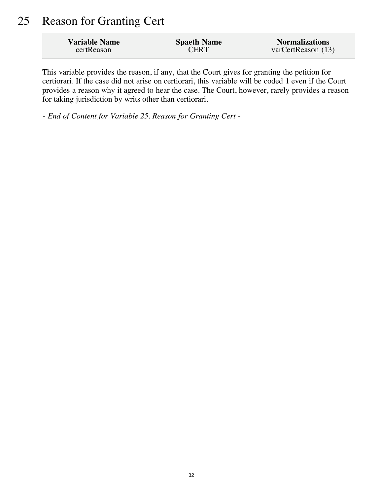#### 25 Reason for Granting Cert

| <b>Variable Name</b> | <b>Spaeth Name</b> | <b>Normalizations</b> |
|----------------------|--------------------|-----------------------|
| certReason           | <b>CERT</b>        | varCertReason (13)    |

This variable provides the reason, if any, that the Court gives for granting the petition for certiorari. If the case did not arise on certiorari, this variable will be coded 1 even if the Court provides a reason why it agreed to hear the case. The Court, however, rarely provides a reason for taking jurisdiction by writs other than certiorari.

*- End of Content for Variable 25. Reason for Granting Cert -*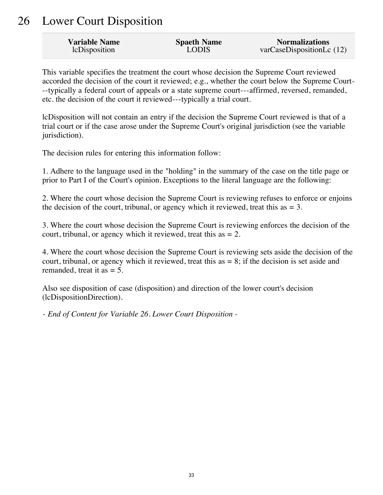#### 26 Lower Court Disposition

| <b>Variable Name</b> | <b>Spaeth Name</b> | <b>Normalizations</b>     |
|----------------------|--------------------|---------------------------|
| lcDisposition        | <b>LODIS</b>       | varCaseDispositionLc (12) |

This variable specifies the treatment the court whose decision the Supreme Court reviewed accorded the decision of the court it reviewed; e.g., whether the court below the Supreme Court- --typically a federal court of appeals or a state supreme court---affirmed, reversed, remanded, etc. the decision of the court it reviewed---typically a trial court.

lcDisposition will not contain an entry if the decision the Supreme Court reviewed is that of a trial court or if the case arose under the Supreme Court's original jurisdiction (see the variable jurisdiction).

The decision rules for entering this information follow:

1. Adhere to the language used in the "holding" in the summary of the case on the title page or prior to Part I of the Court's opinion. Exceptions to the literal language are the following:

2. Where the court whose decision the Supreme Court is reviewing refuses to enforce or enjoins the decision of the court, tribunal, or agency which it reviewed, treat this as  $= 3$ .

3. Where the court whose decision the Supreme Court is reviewing enforces the decision of the court, tribunal, or agency which it reviewed, treat this as  $= 2$ .

4. Where the court whose decision the Supreme Court is reviewing sets aside the decision of the court, tribunal, or agency which it reviewed, treat this as  $= 8$ ; if the decision is set aside and remanded, treat it as  $= 5$ .

Also see disposition of case (disposition) and direction of the lower court's decision (lcDispositionDirection).

*- End of Content for Variable 26. Lower Court Disposition -*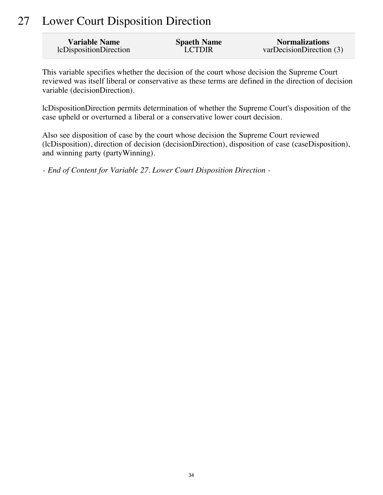## 27 Lower Court Disposition Direction

| Variable Name          | <b>Spaeth Name</b> | <b>Normalizations</b>    |
|------------------------|--------------------|--------------------------|
| lcDispositionDirection | <b>LCTDIR</b>      | varDecisionDirection (3) |

This variable specifies whether the decision of the court whose decision the Supreme Court reviewed was itself liberal or conservative as these terms are defined in the direction of decision variable (decisionDirection).

lcDispositionDirection permits determination of whether the Supreme Court's disposition of the case upheld or overturned a liberal or a conservative lower court decision.

Also see disposition of case by the court whose decision the Supreme Court reviewed (lcDisposition), direction of decision (decisionDirection), disposition of case (caseDisposition), and winning party (partyWinning).

*- End of Content for Variable 27. Lower Court Disposition Direction -*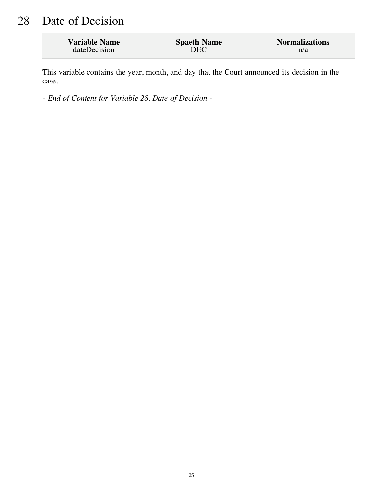## 28 Date of Decision

| <b>Variable Name</b> | <b>Spaeth Name</b> | <b>Normalizations</b> |
|----------------------|--------------------|-----------------------|
| dateDecision         | DEC                | n/a                   |

This variable contains the year, month, and day that the Court announced its decision in the case.

*- End of Content for Variable 28. Date of Decision -*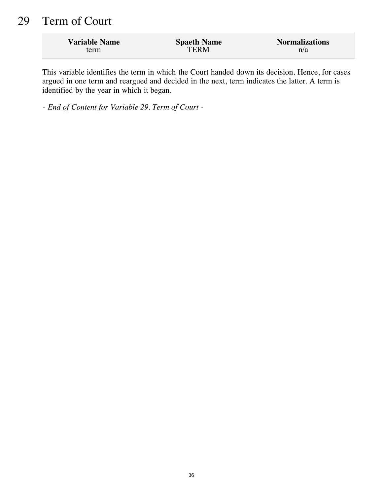## 29 Term of Court

| <b>Variable Name</b> | <b>Spaeth Name</b> | <b>Normalizations</b> |
|----------------------|--------------------|-----------------------|
| term                 | TERM               | n/a                   |

This variable identifies the term in which the Court handed down its decision. Hence, for cases argued in one term and reargued and decided in the next, term indicates the latter. A term is identified by the year in which it began.

*- End of Content for Variable 29. Term of Court -*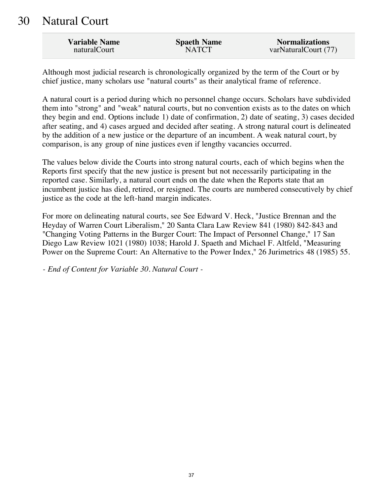#### 30 Natural Court

| <b>Variable Name</b> | <b>Spaeth Name</b> | <b>Normalizations</b> |
|----------------------|--------------------|-----------------------|
| naturalCourt         | <b>NATCT</b>       | varNaturalCourt (77)  |

Although most judicial research is chronologically organized by the term of the Court or by chief justice, many scholars use "natural courts" as their analytical frame of reference.

A natural court is a period during which no personnel change occurs. Scholars have subdivided them into "strong" and "weak" natural courts, but no convention exists as to the dates on which they begin and end. Options include 1) date of confirmation, 2) date of seating, 3) cases decided after seating, and 4) cases argued and decided after seating. A strong natural court is delineated by the addition of a new justice or the departure of an incumbent. A weak natural court, by comparison, is any group of nine justices even if lengthy vacancies occurred.

The values below divide the Courts into strong natural courts, each of which begins when the Reports first specify that the new justice is present but not necessarily participating in the reported case. Similarly, a natural court ends on the date when the Reports state that an incumbent justice has died, retired, or resigned. The courts are numbered consecutively by chief justice as the code at the left-hand margin indicates.

For more on delineating natural courts, see See Edward V. Heck, "Justice Brennan and the Heyday of Warren Court Liberalism," 20 Santa Clara Law Review 841 (1980) 842-843 and "Changing Voting Patterns in the Burger Court: The Impact of Personnel Change," 17 San Diego Law Review 1021 (1980) 1038; Harold J. Spaeth and Michael F. Altfeld, "Measuring Power on the Supreme Court: An Alternative to the Power Index," 26 Jurimetrics 48 (1985) 55.

*- End of Content for Variable 30. Natural Court -*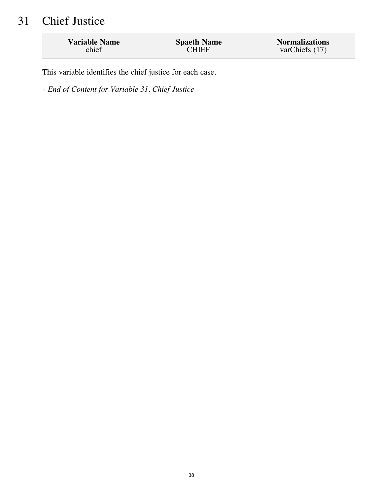# 31 Chief Justice

| <b>Variable Name</b> | <b>Spaeth Name</b> | <b>Normalizations</b> |
|----------------------|--------------------|-----------------------|
| chief                | <b>CHIEF</b>       | varChiefs (17)        |
|                      |                    |                       |

This variable identifies the chief justice for each case.

*- End of Content for Variable 31. Chief Justice -*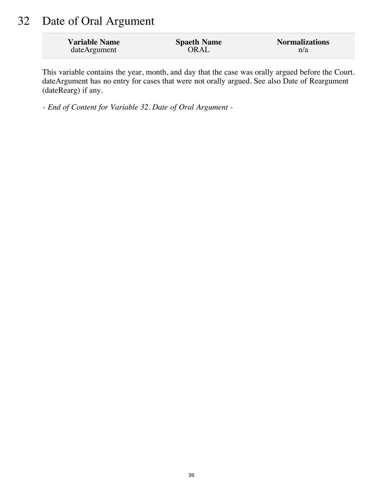## 32 Date of Oral Argument

| <b>Variable Name</b> | <b>Spaeth Name</b> | <b>Normalizations</b> |
|----------------------|--------------------|-----------------------|
| dateArgument         | ORAL               | n/a                   |

This variable contains the year, month, and day that the case was orally argued before the Court. dateArgument has no entry for cases that were not orally argued. See also Date of Reargument (dateRearg) if any.

*- End of Content for Variable 32. Date of Oral Argument -*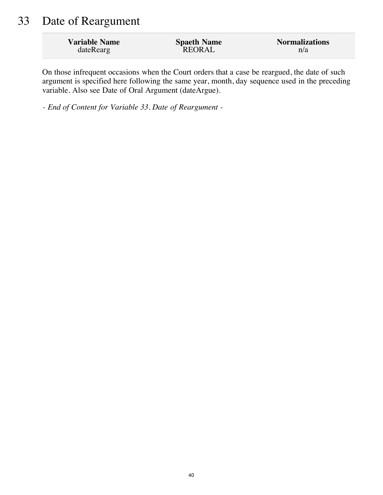### 33 Date of Reargument

| <b>Variable Name</b> | <b>Spaeth Name</b> | <b>Normalizations</b> |
|----------------------|--------------------|-----------------------|
| dateRearg            | REORAL             | n/a                   |

On those infrequent occasions when the Court orders that a case be reargued, the date of such argument is specified here following the same year, month, day sequence used in the preceding variable. Also see Date of Oral Argument (dateArgue).

*- End of Content for Variable 33. Date of Reargument -*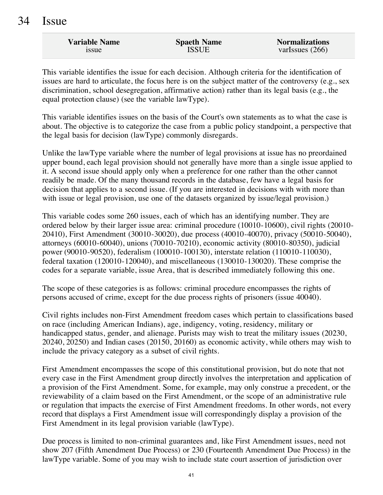| <b>Variable Name</b> | <b>Spaeth Name</b> | <b>Normalizations</b> |
|----------------------|--------------------|-----------------------|
| 1SSUE.               | <b>ISSUE</b>       | varIssues $(266)$     |

This variable identifies the issue for each decision. Although criteria for the identification of issues are hard to articulate, the focus here is on the subject matter of the controversy (e.g., sex discrimination, school desegregation, affirmative action) rather than its legal basis (e.g., the equal protection clause) (see the variable lawType).

This variable identifies issues on the basis of the Court's own statements as to what the case is about. The objective is to categorize the case from a public policy standpoint, a perspective that the legal basis for decision (lawType) commonly disregards.

Unlike the lawType variable where the number of legal provisions at issue has no preordained upper bound, each legal provision should not generally have more than a single issue applied to it. A second issue should apply only when a preference for one rather than the other cannot readily be made. Of the many thousand records in the database, few have a legal basis for decision that applies to a second issue. (If you are interested in decisions with with more than with issue or legal provision, use one of the datasets organized by issue/legal provision.)

This variable codes some 260 issues, each of which has an identifying number. They are ordered below by their larger issue area: criminal procedure (10010-10600), civil rights (20010- 20410), First Amendment (30010-30020), due process (40010-40070), privacy (50010-50040), attorneys (60010-60040), unions (70010-70210), economic activity (80010-80350), judicial power (90010-90520), federalism (100010-100130), interstate relation (110010-110030), federal taxation (120010-120040), and miscellaneous (130010-130020). These comprise the codes for a separate variable, issue Area, that is described immediately following this one.

The scope of these categories is as follows: criminal procedure encompasses the rights of persons accused of crime, except for the due process rights of prisoners (issue 40040).

Civil rights includes non-First Amendment freedom cases which pertain to classifications based on race (including American Indians), age, indigency, voting, residency, military or handicapped status, gender, and alienage. Purists may wish to treat the military issues (20230, 20240, 20250) and Indian cases (20150, 20160) as economic activity, while others may wish to include the privacy category as a subset of civil rights.

First Amendment encompasses the scope of this constitutional provision, but do note that not every case in the First Amendment group directly involves the interpretation and application of a provision of the First Amendment. Some, for example, may only construe a precedent, or the reviewability of a claim based on the First Amendment, or the scope of an administrative rule or regulation that impacts the exercise of First Amendment freedoms. In other words, not every record that displays a First Amendment issue will correspondingly display a provision of the First Amendment in its legal provision variable (lawType).

Due process is limited to non-criminal guarantees and, like First Amendment issues, need not show 207 (Fifth Amendment Due Process) or 230 (Fourteenth Amendment Due Process) in the lawType variable. Some of you may wish to include state court assertion of jurisdiction over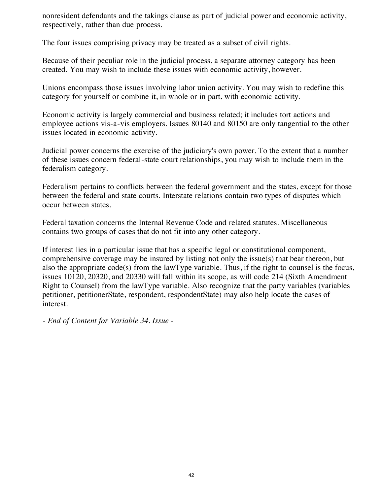nonresident defendants and the takings clause as part of judicial power and economic activity, respectively, rather than due process.

The four issues comprising privacy may be treated as a subset of civil rights.

Because of their peculiar role in the judicial process, a separate attorney category has been created. You may wish to include these issues with economic activity, however.

Unions encompass those issues involving labor union activity. You may wish to redefine this category for yourself or combine it, in whole or in part, with economic activity.

Economic activity is largely commercial and business related; it includes tort actions and employee actions vis-a-vis employers. Issues 80140 and 80150 are only tangential to the other issues located in economic activity.

Judicial power concerns the exercise of the judiciary's own power. To the extent that a number of these issues concern federal-state court relationships, you may wish to include them in the federalism category.

Federalism pertains to conflicts between the federal government and the states, except for those between the federal and state courts. Interstate relations contain two types of disputes which occur between states.

Federal taxation concerns the Internal Revenue Code and related statutes. Miscellaneous contains two groups of cases that do not fit into any other category.

If interest lies in a particular issue that has a specific legal or constitutional component, comprehensive coverage may be insured by listing not only the issue(s) that bear thereon, but also the appropriate code(s) from the lawType variable. Thus, if the right to counsel is the focus, issues 10120, 20320, and 20330 will fall within its scope, as will code 214 (Sixth Amendment Right to Counsel) from the lawType variable. Also recognize that the party variables (variables petitioner, petitionerState, respondent, respondentState) may also help locate the cases of interest.

*- End of Content for Variable 34. Issue -*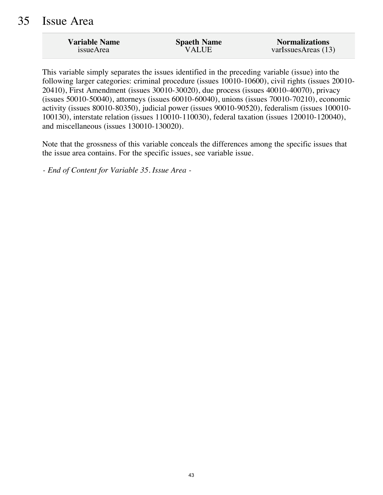#### 35 Issue Area

| <b>Variable Name</b> | <b>Spaeth Name</b> | <b>Normalizations</b> |
|----------------------|--------------------|-----------------------|
| <i>issueArea</i>     | <b>VALUE</b>       | varIssuesAreas $(13)$ |

This variable simply separates the issues identified in the preceding variable (issue) into the following larger categories: criminal procedure (issues 10010-10600), civil rights (issues 20010- 20410), First Amendment (issues 30010-30020), due process (issues 40010-40070), privacy (issues 50010-50040), attorneys (issues 60010-60040), unions (issues 70010-70210), economic activity (issues 80010-80350), judicial power (issues 90010-90520), federalism (issues 100010- 100130), interstate relation (issues 110010-110030), federal taxation (issues 120010-120040), and miscellaneous (issues 130010-130020).

Note that the grossness of this variable conceals the differences among the specific issues that the issue area contains. For the specific issues, see variable issue.

*- End of Content for Variable 35. Issue Area -*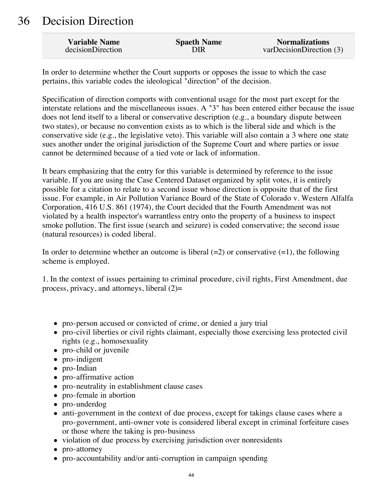### 36 Decision Direction

| <b>Variable Name</b> | <b>Spaeth Name</b> | <b>Normalizations</b>   |
|----------------------|--------------------|-------------------------|
| decisionDirection    | DIR                | varDecisionDirection(3) |

In order to determine whether the Court supports or opposes the issue to which the case pertains, this variable codes the ideological "direction" of the decision.

Specification of direction comports with conventional usage for the most part except for the interstate relations and the miscellaneous issues. A "3" has been entered either because the issue does not lend itself to a liberal or conservative description (e.g., a boundary dispute between two states), or because no convention exists as to which is the liberal side and which is the conservative side (e.g., the legislative veto). This variable will also contain a 3 where one state sues another under the original jurisdiction of the Supreme Court and where parties or issue cannot be determined because of a tied vote or lack of information.

It bears emphasizing that the entry for this variable is determined by reference to the issue variable. If you are using the Case Centered Dataset organized by split votes, it is entirely possible for a citation to relate to a second issue whose direction is opposite that of the first issue. For example, in Air Pollution Variance Board of the State of Colorado v. Western Alfalfa Corporation, 416 U.S. 861 (1974), the Court decided that the Fourth Amendment was not violated by a health inspector's warrantless entry onto the property of a business to inspect smoke pollution. The first issue (search and seizure) is coded conservative; the second issue (natural resources) is coded liberal.

In order to determine whether an outcome is liberal  $(=2)$  or conservative  $(=1)$ , the following scheme is employed.

1. In the context of issues pertaining to criminal procedure, civil rights, First Amendment, due process, privacy, and attorneys, liberal  $(2)$ =

- pro-person accused or convicted of crime, or denied a jury trial
- pro-civil liberties or civil rights claimant, especially those exercising less protected civil rights (e.g., homosexuality
- pro-child or juvenile
- pro-indigent
- pro-Indian
- pro-affirmative action
- pro-neutrality in establishment clause cases
- pro-female in abortion
- pro-underdog
- anti-government in the context of due process, except for takings clause cases where a pro-government, anti-owner vote is considered liberal except in criminal forfeiture cases or those where the taking is pro-business
- violation of due process by exercising jurisdiction over nonresidents
- pro-attorney
- pro-accountability and/or anti-corruption in campaign spending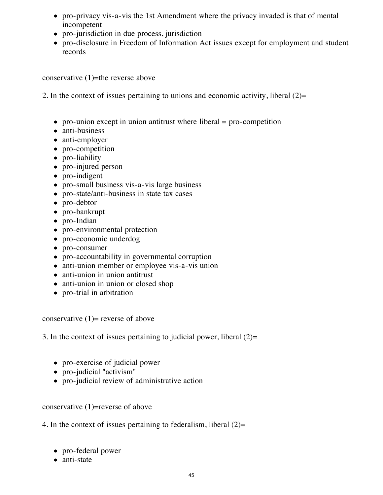- pro-privacy vis-a-vis the 1st Amendment where the privacy invaded is that of mental incompetent
- pro-jurisdiction in due process, jurisdiction
- pro-disclosure in Freedom of Information Act issues except for employment and student records

conservative (1)=the reverse above

2. In the context of issues pertaining to unions and economic activity, liberal (2)=

- pro-union except in union antitrust where liberal  $=$  pro-competition
- anti-business
- anti-employer
- pro-competition
- pro-liability
- pro-injured person
- pro-indigent
- pro-small business vis-a-vis large business
- pro-state/anti-business in state tax cases
- pro-debtor
- pro-bankrupt
- pro-Indian
- pro-environmental protection
- pro-economic underdog
- pro-consumer
- pro-accountability in governmental corruption
- anti-union member or employee vis-a-vis union
- anti-union in union antitrust
- anti-union in union or closed shop
- pro-trial in arbitration

conservative  $(1)$ = reverse of above

3. In the context of issues pertaining to judicial power, liberal  $(2)$ =

- pro-exercise of judicial power
- pro-judicial "activism"
- pro-judicial review of administrative action

conservative  $(1)$ =reverse of above

4. In the context of issues pertaining to federalism, liberal  $(2)=$ 

- pro-federal power
- anti-state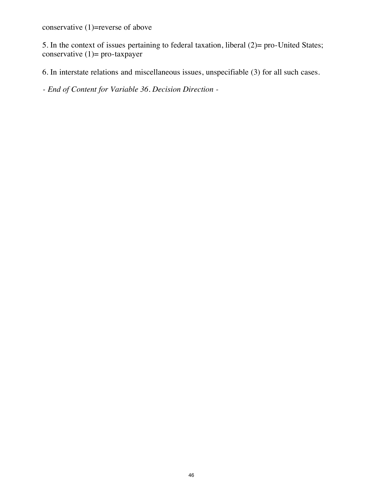conservative (1)=reverse of above

5. In the context of issues pertaining to federal taxation, liberal (2)= pro-United States; conservative  $(1)$ = pro-taxpayer

6. In interstate relations and miscellaneous issues, unspecifiable (3) for all such cases.

*- End of Content for Variable 36. Decision Direction -*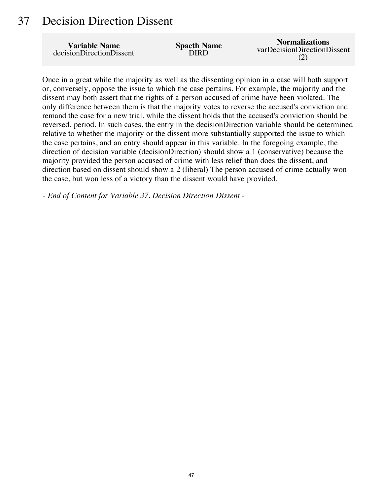#### 37 Decision Direction Dissent

| <b>Variable Name</b>     | <b>Spaeth Name</b> | <b>Normalizations</b>       |
|--------------------------|--------------------|-----------------------------|
| decisionDirectionDissent | DIRD               | varDecisionDirectionDissent |

Once in a great while the majority as well as the dissenting opinion in a case will both support or, conversely, oppose the issue to which the case pertains. For example, the majority and the dissent may both assert that the rights of a person accused of crime have been violated. The only difference between them is that the majority votes to reverse the accused's conviction and remand the case for a new trial, while the dissent holds that the accused's conviction should be reversed, period. In such cases, the entry in the decisionDirection variable should be determined relative to whether the majority or the dissent more substantially supported the issue to which the case pertains, and an entry should appear in this variable. In the foregoing example, the direction of decision variable (decisionDirection) should show a 1 (conservative) because the majority provided the person accused of crime with less relief than does the dissent, and direction based on dissent should show a 2 (liberal) The person accused of crime actually won the case, but won less of a victory than the dissent would have provided.

*- End of Content for Variable 37. Decision Direction Dissent -*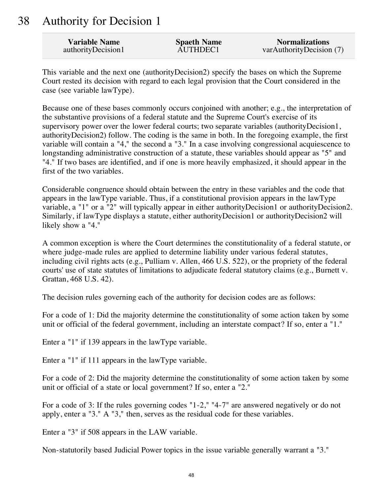#### 38 Authority for Decision 1

| <b>Variable Name</b> | <b>Spaeth Name</b> | <b>Normalizations</b>    |
|----------------------|--------------------|--------------------------|
| authorityDecision1   | AUTHDEC1           | varAuthorityDecision (7) |

This variable and the next one (authorityDecision2) specify the bases on which the Supreme Court rested its decision with regard to each legal provision that the Court considered in the case (see variable lawType).

Because one of these bases commonly occurs conjoined with another; e.g., the interpretation of the substantive provisions of a federal statute and the Supreme Court's exercise of its supervisory power over the lower federal courts; two separate variables (authorityDecision1, authorityDecision2) follow. The coding is the same in both. In the foregoing example, the first variable will contain a "4," the second a "3." In a case involving congressional acquiescence to longstanding administrative construction of a statute, these variables should appear as "5" and "4." If two bases are identified, and if one is more heavily emphasized, it should appear in the first of the two variables.

Considerable congruence should obtain between the entry in these variables and the code that appears in the lawType variable. Thus, if a constitutional provision appears in the lawType variable, a "1" or a "2" will typically appear in either authorityDecision1 or authorityDecision2. Similarly, if lawType displays a statute, either authorityDecision1 or authorityDecision2 will likely show a "4."

A common exception is where the Court determines the constitutionality of a federal statute, or where judge-made rules are applied to determine liability under various federal statutes, including civil rights acts (e.g., Pulliam v. Allen, 466 U.S. 522), or the propriety of the federal courts' use of state statutes of limitations to adjudicate federal statutory claims (e.g., Burnett v. Grattan, 468 U.S. 42).

The decision rules governing each of the authority for decision codes are as follows:

For a code of 1: Did the majority determine the constitutionality of some action taken by some unit or official of the federal government, including an interstate compact? If so, enter a "1."

Enter a "1" if 139 appears in the lawType variable.

Enter a "1" if 111 appears in the lawType variable.

For a code of 2: Did the majority determine the constitutionality of some action taken by some unit or official of a state or local government? If so, enter a "2."

For a code of 3: If the rules governing codes "1-2," "4-7" are answered negatively or do not apply, enter a "3." A "3," then, serves as the residual code for these variables.

Enter a "3" if 508 appears in the LAW variable.

Non-statutorily based Judicial Power topics in the issue variable generally warrant a "3."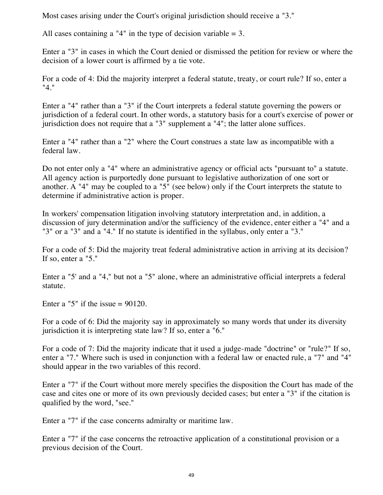Most cases arising under the Court's original jurisdiction should receive a "3."

All cases containing a "4" in the type of decision variable  $= 3$ .

Enter a "3" in cases in which the Court denied or dismissed the petition for review or where the decision of a lower court is affirmed by a tie vote.

For a code of 4: Did the majority interpret a federal statute, treaty, or court rule? If so, enter a "4."

Enter a "4" rather than a "3" if the Court interprets a federal statute governing the powers or jurisdiction of a federal court. In other words, a statutory basis for a court's exercise of power or jurisdiction does not require that a "3" supplement a "4"; the latter alone suffices.

Enter a "4" rather than a "2" where the Court construes a state law as incompatible with a federal law.

Do not enter only a "4" where an administrative agency or official acts "pursuant to" a statute. All agency action is purportedly done pursuant to legislative authorization of one sort or another. A "4" may be coupled to a "5" (see below) only if the Court interprets the statute to determine if administrative action is proper.

In workers' compensation litigation involving statutory interpretation and, in addition, a discussion of jury determination and/or the sufficiency of the evidence, enter either a "4" and a "3" or a "3" and a "4." If no statute is identified in the syllabus, only enter a "3."

For a code of 5: Did the majority treat federal administrative action in arriving at its decision? If so, enter a "5."

Enter a "5' and a "4," but not a "5" alone, where an administrative official interprets a federal statute.

Enter a "5" if the issue  $= 90120$ .

For a code of 6: Did the majority say in approximately so many words that under its diversity jurisdiction it is interpreting state law? If so, enter a "6."

For a code of 7: Did the majority indicate that it used a judge-made "doctrine" or "rule?" If so, enter a "7." Where such is used in conjunction with a federal law or enacted rule, a "7" and "4" should appear in the two variables of this record.

Enter a "7" if the Court without more merely specifies the disposition the Court has made of the case and cites one or more of its own previously decided cases; but enter a "3" if the citation is qualified by the word, "see."

Enter a "7" if the case concerns admiralty or maritime law.

Enter a "7" if the case concerns the retroactive application of a constitutional provision or a previous decision of the Court.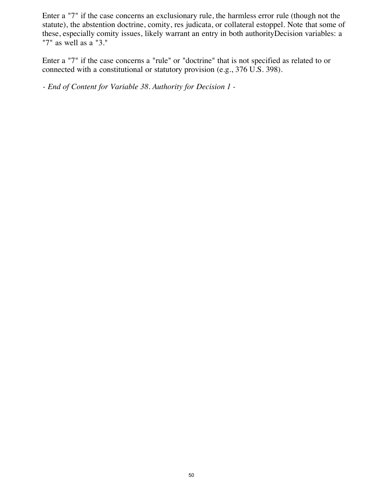Enter a "7" if the case concerns an exclusionary rule, the harmless error rule (though not the statute), the abstention doctrine, comity, res judicata, or collateral estoppel. Note that some of these, especially comity issues, likely warrant an entry in both authorityDecision variables: a "7" as well as a "3."

Enter a "7" if the case concerns a "rule" or "doctrine" that is not specified as related to or connected with a constitutional or statutory provision (e.g., 376 U.S. 398).

*- End of Content for Variable 38. Authority for Decision 1 -*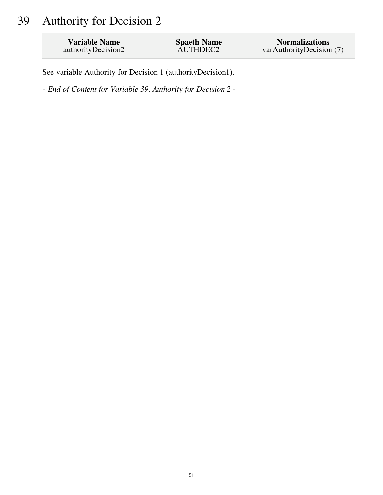# 39 Authority for Decision 2

| <b>Variable Name</b> | <b>Spaeth Name</b> | <b>Normalizations</b>    |
|----------------------|--------------------|--------------------------|
| authorityDecision2   | AUTHDEC2           | varAuthorityDecision (7) |

See variable Authority for Decision 1 (authorityDecision1).

*- End of Content for Variable 39. Authority for Decision 2 -*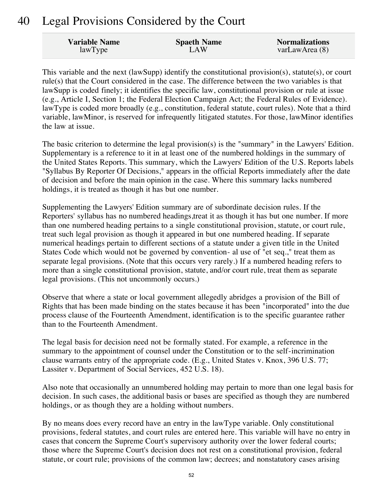### 40 Legal Provisions Considered by the Court

| <b>Variable Name</b> | <b>Spaeth Name</b> | <b>Normalizations</b> |
|----------------------|--------------------|-----------------------|
| lawType              | LAW                | varLawArea (8)        |

This variable and the next (lawSupp) identify the constitutional provision(s), statute(s), or court rule(s) that the Court considered in the case. The difference between the two variables is that lawSupp is coded finely; it identifies the specific law, constitutional provision or rule at issue (e.g., Article I, Section 1; the Federal Election Campaign Act; the Federal Rules of Evidence). lawType is coded more broadly (e.g., constitution, federal statute, court rules). Note that a third variable, lawMinor, is reserved for infrequently litigated statutes. For those, lawMinor identifies the law at issue.

The basic criterion to determine the legal provision(s) is the "summary" in the Lawyers' Edition. Supplementary is a reference to it in at least one of the numbered holdings in the summary of the United States Reports. This summary, which the Lawyers' Edition of the U.S. Reports labels "Syllabus By Reporter Of Decisions," appears in the official Reports immediately after the date of decision and before the main opinion in the case. Where this summary lacks numbered holdings, it is treated as though it has but one number.

Supplementing the Lawyers' Edition summary are of subordinate decision rules. If the Reporters' syllabus has no numbered headings,treat it as though it has but one number. If more than one numbered heading pertains to a single constitutional provision, statute, or court rule, treat such legal provision as though it appeared in but one numbered heading. If separate numerical headings pertain to different sections of a statute under a given title in the United States Code which would not be governed by convention- al use of "et seq.," treat them as separate legal provisions. (Note that this occurs very rarely.) If a numbered heading refers to more than a single constitutional provision, statute, and/or court rule, treat them as separate legal provisions. (This not uncommonly occurs.)

Observe that where a state or local government allegedly abridges a provision of the Bill of Rights that has been made binding on the states because it has been "incorporated" into the due process clause of the Fourteenth Amendment, identification is to the specific guarantee rather than to the Fourteenth Amendment.

The legal basis for decision need not be formally stated. For example, a reference in the summary to the appointment of counsel under the Constitution or to the self-incrimination clause warrants entry of the appropriate code. (E.g., United States v. Knox, 396 U.S. 77; Lassiter v. Department of Social Services, 452 U.S. 18).

Also note that occasionally an unnumbered holding may pertain to more than one legal basis for decision. In such cases, the additional basis or bases are specified as though they are numbered holdings, or as though they are a holding without numbers.

By no means does every record have an entry in the lawType variable. Only constitutional provisions, federal statutes, and court rules are entered here. This variable will have no entry in cases that concern the Supreme Court's supervisory authority over the lower federal courts; those where the Supreme Court's decision does not rest on a constitutional provision, federal statute, or court rule; provisions of the common law; decrees; and nonstatutory cases arising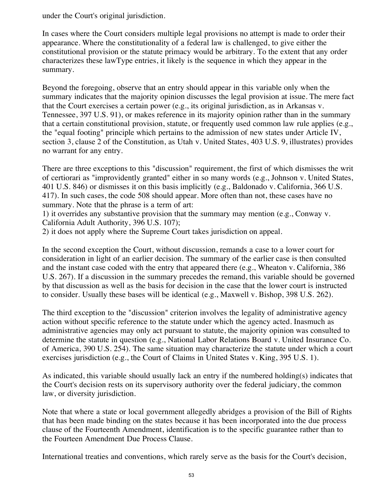under the Court's original jurisdiction.

In cases where the Court considers multiple legal provisions no attempt is made to order their appearance. Where the constitutionality of a federal law is challenged, to give either the constitutional provision or the statute primacy would be arbitrary. To the extent that any order characterizes these lawType entries, it likely is the sequence in which they appear in the summary.

Beyond the foregoing, observe that an entry should appear in this variable only when the summary indicates that the majority opinion discusses the legal provision at issue. The mere fact that the Court exercises a certain power (e.g., its original jurisdiction, as in Arkansas v. Tennessee, 397 U.S. 91), or makes reference in its majority opinion rather than in the summary that a certain constitutional provision, statute, or frequently used common law rule applies (e.g., the "equal footing" principle which pertains to the admission of new states under Article IV, section 3, clause 2 of the Constitution, as Utah v. United States, 403 U.S. 9, illustrates) provides no warrant for any entry.

There are three exceptions to this "discussion" requirement, the first of which dismisses the writ of certiorari as "improvidently granted" either in so many words (e.g., Johnson v. United States, 401 U.S. 846) or dismisses it on this basis implicitly (e.g., Baldonado v. California, 366 U.S. 417). In such cases, the code 508 should appear. More often than not, these cases have no summary. Note that the phrase is a term of art:

1) it overrides any substantive provision that the summary may mention (e.g., Conway v. California Adult Authority, 396 U.S. 107);

2) it does not apply where the Supreme Court takes jurisdiction on appeal.

In the second exception the Court, without discussion, remands a case to a lower court for consideration in light of an earlier decision. The summary of the earlier case is then consulted and the instant case coded with the entry that appeared there (e.g., Wheaton v. California, 386 U.S. 267). If a discussion in the summary precedes the remand, this variable should be governed by that discussion as well as the basis for decision in the case that the lower court is instructed to consider. Usually these bases will be identical (e.g., Maxwell v. Bishop, 398 U.S. 262).

The third exception to the "discussion" criterion involves the legality of administrative agency action without specific reference to the statute under which the agency acted. Inasmuch as administrative agencies may only act pursuant to statute, the majority opinion was consulted to determine the statute in question (e.g., National Labor Relations Board v. United Insurance Co. of America, 390 U.S. 254). The same situation may characterize the statute under which a court exercises jurisdiction (e.g., the Court of Claims in United States v. King, 395 U.S. 1).

As indicated, this variable should usually lack an entry if the numbered holding(s) indicates that the Court's decision rests on its supervisory authority over the federal judiciary, the common law, or diversity jurisdiction.

Note that where a state or local government allegedly abridges a provision of the Bill of Rights that has been made binding on the states because it has been incorporated into the due process clause of the Fourteenth Amendment, identification is to the specific guarantee rather than to the Fourteen Amendment Due Process Clause.

International treaties and conventions, which rarely serve as the basis for the Court's decision,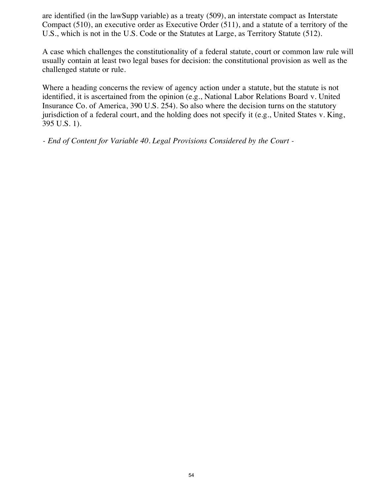are identified (in the lawSupp variable) as a treaty (509), an interstate compact as Interstate Compact (510), an executive order as Executive Order (511), and a statute of a territory of the U.S., which is not in the U.S. Code or the Statutes at Large, as Territory Statute (512).

A case which challenges the constitutionality of a federal statute, court or common law rule will usually contain at least two legal bases for decision: the constitutional provision as well as the challenged statute or rule.

Where a heading concerns the review of agency action under a statute, but the statute is not identified, it is ascertained from the opinion (e.g., National Labor Relations Board v. United Insurance Co. of America, 390 U.S. 254). So also where the decision turns on the statutory jurisdiction of a federal court, and the holding does not specify it (e.g., United States v. King, 395 U.S. 1).

*- End of Content for Variable 40. Legal Provisions Considered by the Court -*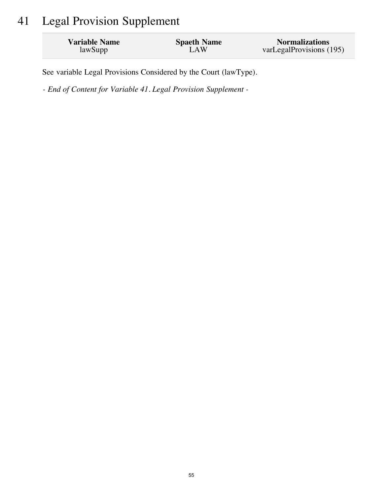# 41 Legal Provision Supplement

| <b>Variable Name</b> | <b>Spaeth Name</b> | <b>Normalizations</b>    |
|----------------------|--------------------|--------------------------|
| lawSupp              | LAW                | varLegalProvisions (195) |

See variable Legal Provisions Considered by the Court (lawType).

*- End of Content for Variable 41. Legal Provision Supplement -*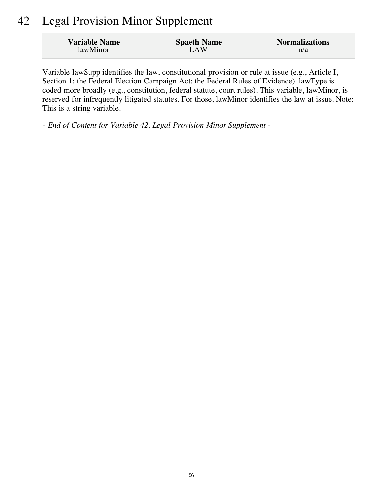### 42 Legal Provision Minor Supplement

| <b>Variable Name</b> | <b>Spaeth Name</b> | <b>Normalizations</b> |
|----------------------|--------------------|-----------------------|
| lawMinor             | LAW                | n/a                   |

Variable lawSupp identifies the law, constitutional provision or rule at issue (e.g., Article I, Section 1; the Federal Election Campaign Act; the Federal Rules of Evidence). lawType is coded more broadly (e.g., constitution, federal statute, court rules). This variable, lawMinor, is reserved for infrequently litigated statutes. For those, lawMinor identifies the law at issue. Note: This is a string variable.

*- End of Content for Variable 42. Legal Provision Minor Supplement -*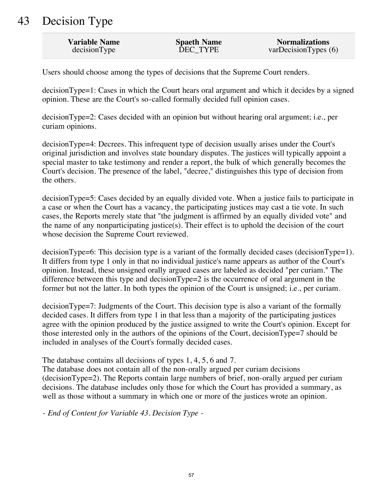# 43 Decision Type

| <b>Variable Name</b> | <b>Spaeth Name</b> | <b>Normalizations</b> |
|----------------------|--------------------|-----------------------|
| decisionType         | DEC TYPE           | varDecisionTypes(6)   |

Users should choose among the types of decisions that the Supreme Court renders.

decisionType=1: Cases in which the Court hears oral argument and which it decides by a signed opinion. These are the Court's so-called formally decided full opinion cases.

decisionType=2: Cases decided with an opinion but without hearing oral argument; i.e., per curiam opinions.

decisionType=4: Decrees. This infrequent type of decision usually arises under the Court's original jurisdiction and involves state boundary disputes. The justices will typically appoint a special master to take testimony and render a report, the bulk of which generally becomes the Court's decision. The presence of the label, "decree," distinguishes this type of decision from the others.

decisionType=5: Cases decided by an equally divided vote. When a justice fails to participate in a case or when the Court has a vacancy, the participating justices may cast a tie vote. In such cases, the Reports merely state that "the judgment is affirmed by an equally divided vote" and the name of any nonparticipating justice(s). Their effect is to uphold the decision of the court whose decision the Supreme Court reviewed.

decisionType=6: This decision type is a variant of the formally decided cases (decisionType=1). It differs from type 1 only in that no individual justice's name appears as author of the Court's opinion. Instead, these unsigned orally argued cases are labeled as decided "per curiam." The difference between this type and decisionType=2 is the occurrence of oral argument in the former but not the latter. In both types the opinion of the Court is unsigned; i.e., per curiam.

decisionType=7: Judgments of the Court. This decision type is also a variant of the formally decided cases. It differs from type 1 in that less than a majority of the participating justices agree with the opinion produced by the justice assigned to write the Court's opinion. Except for those interested only in the authors of the opinions of the Court, decisionType=7 should be included in analyses of the Court's formally decided cases.

The database contains all decisions of types 1, 4, 5, 6 and 7.

The database does not contain all of the non-orally argued per curiam decisions (decisionType=2). The Reports contain large numbers of brief, non-orally argued per curiam decisions. The database includes only those for which the Court has provided a summary, as well as those without a summary in which one or more of the justices wrote an opinion.

*- End of Content for Variable 43. Decision Type -*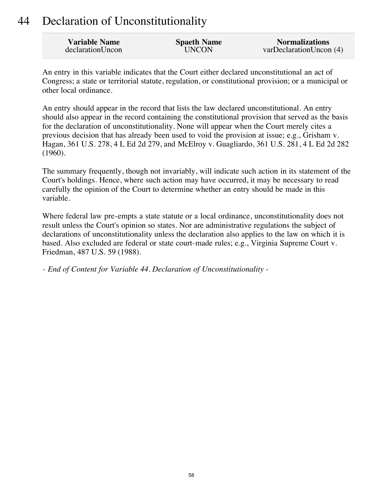### 44 Declaration of Unconstitutionality

| <b>Variable Name</b> | <b>Spaeth Name</b> | <b>Normalizations</b>   |
|----------------------|--------------------|-------------------------|
| declarationUncon     | <b>UNCON</b>       | varDeclarationUncon (4) |

An entry in this variable indicates that the Court either declared unconstitutional an act of Congress; a state or territorial statute, regulation, or constitutional provision; or a municipal or other local ordinance.

An entry should appear in the record that lists the law declared unconstitutional. An entry should also appear in the record containing the constitutional provision that served as the basis for the declaration of unconstitutionality. None will appear when the Court merely cites a previous decision that has already been used to void the provision at issue; e.g., Grisham v. Hagan, 361 U.S. 278, 4 L Ed 2d 279, and McElroy v. Guagliardo, 361 U.S. 281, 4 L Ed 2d 282 (1960).

The summary frequently, though not invariably, will indicate such action in its statement of the Court's holdings. Hence, where such action may have occurred, it may be necessary to read carefully the opinion of the Court to determine whether an entry should be made in this variable.

Where federal law pre-empts a state statute or a local ordinance, unconstitutionality does not result unless the Court's opinion so states. Nor are administrative regulations the subject of declarations of unconstitutionality unless the declaration also applies to the law on which it is based. Also excluded are federal or state court-made rules; e.g., Virginia Supreme Court v. Friedman, 487 U.S. 59 (1988).

*- End of Content for Variable 44. Declaration of Unconstitutionality -*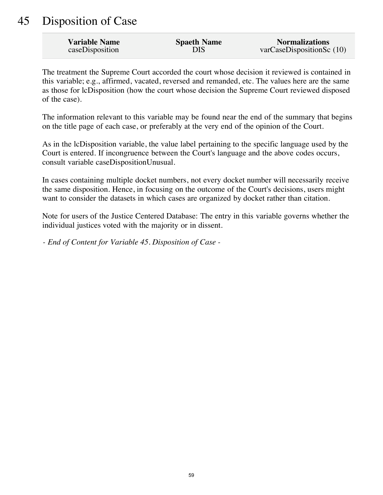## 45 Disposition of Case

| <b>Variable Name</b> | <b>Spaeth Name</b> | <b>Normalizations</b>        |
|----------------------|--------------------|------------------------------|
| caseDisposition      | DIS                | $varCase$ DispositionSc (10) |

The treatment the Supreme Court accorded the court whose decision it reviewed is contained in this variable; e.g., affirmed, vacated, reversed and remanded, etc. The values here are the same as those for lcDisposition (how the court whose decision the Supreme Court reviewed disposed of the case).

The information relevant to this variable may be found near the end of the summary that begins on the title page of each case, or preferably at the very end of the opinion of the Court.

As in the lcDisposition variable, the value label pertaining to the specific language used by the Court is entered. If incongruence between the Court's language and the above codes occurs, consult variable caseDispositionUnusual.

In cases containing multiple docket numbers, not every docket number will necessarily receive the same disposition. Hence, in focusing on the outcome of the Court's decisions, users might want to consider the datasets in which cases are organized by docket rather than citation.

Note for users of the Justice Centered Database: The entry in this variable governs whether the individual justices voted with the majority or in dissent.

*- End of Content for Variable 45. Disposition of Case -*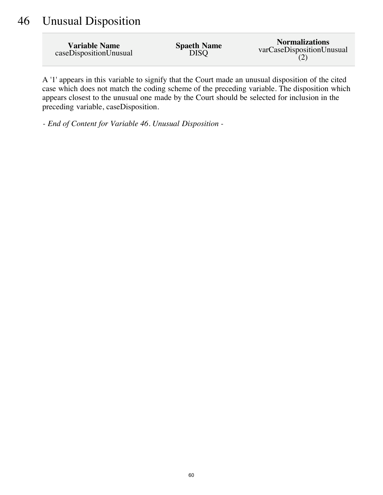### 46 Unusual Disposition

| <b>Variable Name</b>   | <b>Spaeth Name</b> | <b>Normalizations</b>     |
|------------------------|--------------------|---------------------------|
| caseDispositionUnusual | <b>DISQ</b>        | varCaseDispositionUnusual |

A '1' appears in this variable to signify that the Court made an unusual disposition of the cited case which does not match the coding scheme of the preceding variable. The disposition which appears closest to the unusual one made by the Court should be selected for inclusion in the preceding variable, caseDisposition.

*- End of Content for Variable 46. Unusual Disposition -*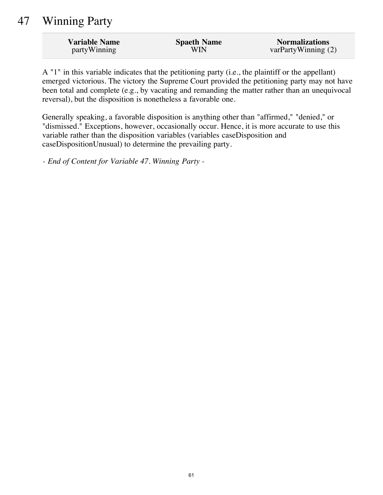## 47 Winning Party

| <b>Variable Name</b> | <b>Spaeth Name</b> | <b>Normalizations</b> |
|----------------------|--------------------|-----------------------|
| partyWinning         | WIN                | varPartyWinning $(2)$ |

A "1" in this variable indicates that the petitioning party (i.e., the plaintiff or the appellant) emerged victorious. The victory the Supreme Court provided the petitioning party may not have been total and complete (e.g., by vacating and remanding the matter rather than an unequivocal reversal), but the disposition is nonetheless a favorable one.

Generally speaking, a favorable disposition is anything other than "affirmed," "denied," or "dismissed." Exceptions, however, occasionally occur. Hence, it is more accurate to use this variable rather than the disposition variables (variables caseDisposition and caseDispositionUnusual) to determine the prevailing party.

*- End of Content for Variable 47. Winning Party -*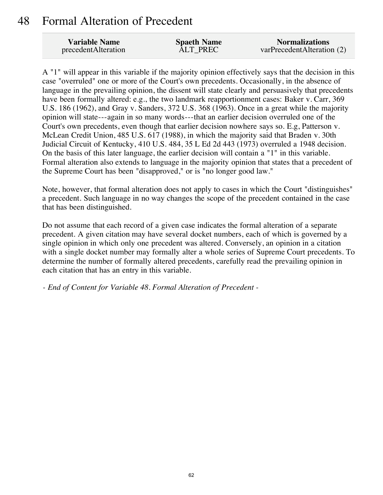#### 48 Formal Alteration of Precedent

| <b>Variable Name</b> | <b>Spaeth Name</b> | <b>Normalizations</b>      |
|----------------------|--------------------|----------------------------|
| precedentAlteration  | <b>ALT PREC</b>    | varPrecedentAlteration (2) |

A "1" will appear in this variable if the majority opinion effectively says that the decision in this case "overruled" one or more of the Court's own precedents. Occasionally, in the absence of language in the prevailing opinion, the dissent will state clearly and persuasively that precedents have been formally altered: e.g., the two landmark reapportionment cases: Baker v. Carr, 369 U.S. 186 (1962), and Gray v. Sanders, 372 U.S. 368 (1963). Once in a great while the majority opinion will state---again in so many words---that an earlier decision overruled one of the Court's own precedents, even though that earlier decision nowhere says so. E.g, Patterson v. McLean Credit Union, 485 U.S. 617 (1988), in which the majority said that Braden v. 30th Judicial Circuit of Kentucky, 410 U.S. 484, 35 L Ed 2d 443 (1973) overruled a 1948 decision. On the basis of this later language, the earlier decision will contain a "1" in this variable. Formal alteration also extends to language in the majority opinion that states that a precedent of the Supreme Court has been "disapproved," or is "no longer good law."

Note, however, that formal alteration does not apply to cases in which the Court "distinguishes" a precedent. Such language in no way changes the scope of the precedent contained in the case that has been distinguished.

Do not assume that each record of a given case indicates the formal alteration of a separate precedent. A given citation may have several docket numbers, each of which is governed by a single opinion in which only one precedent was altered. Conversely, an opinion in a citation with a single docket number may formally alter a whole series of Supreme Court precedents. To determine the number of formally altered precedents, carefully read the prevailing opinion in each citation that has an entry in this variable.

*- End of Content for Variable 48. Formal Alteration of Precedent -*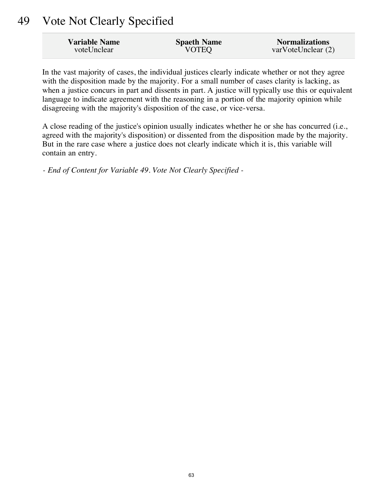### 49 Vote Not Clearly Specified

| <b>Variable Name</b> | <b>Spaeth Name</b> | <b>Normalizations</b> |
|----------------------|--------------------|-----------------------|
| voteUnclear          | <b>VOTEQ</b>       | varVoteUnclear (2)    |

In the vast majority of cases, the individual justices clearly indicate whether or not they agree with the disposition made by the majority. For a small number of cases clarity is lacking, as when a justice concurs in part and dissents in part. A justice will typically use this or equivalent language to indicate agreement with the reasoning in a portion of the majority opinion while disagreeing with the majority's disposition of the case, or vice-versa.

A close reading of the justice's opinion usually indicates whether he or she has concurred (i.e., agreed with the majority's disposition) or dissented from the disposition made by the majority. But in the rare case where a justice does not clearly indicate which it is, this variable will contain an entry.

*- End of Content for Variable 49. Vote Not Clearly Specified -*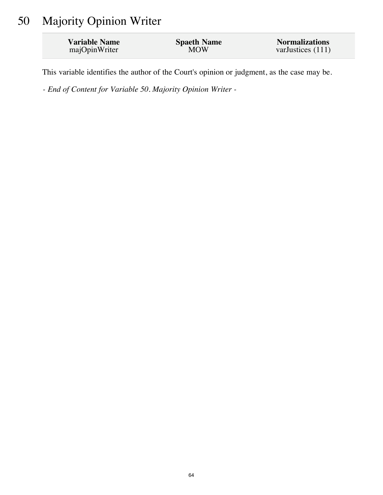# 50 Majority Opinion Writer

| <b>Variable Name</b> | <b>Spaeth Name</b> | <b>Normalizations</b> |
|----------------------|--------------------|-----------------------|
| majOpinWriter        | <b>MOW</b>         | varJustices $(111)$   |

This variable identifies the author of the Court's opinion or judgment, as the case may be.

*- End of Content for Variable 50. Majority Opinion Writer -*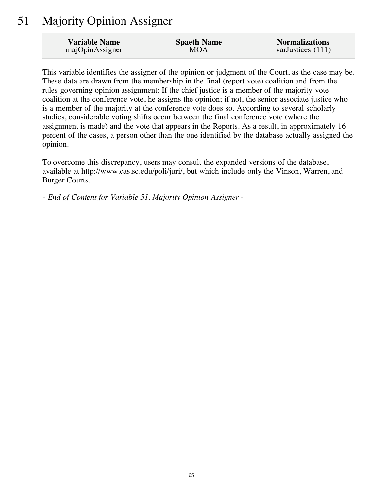### 51 Majority Opinion Assigner

| <b>Variable Name</b> | <b>Spaeth Name</b> | <b>Normalizations</b> |
|----------------------|--------------------|-----------------------|
| majOpinAssigner      | MOA                | varJustices (111)     |

This variable identifies the assigner of the opinion or judgment of the Court, as the case may be. These data are drawn from the membership in the final (report vote) coalition and from the rules governing opinion assignment: If the chief justice is a member of the majority vote coalition at the conference vote, he assigns the opinion; if not, the senior associate justice who is a member of the majority at the conference vote does so. According to several scholarly studies, considerable voting shifts occur between the final conference vote (where the assignment is made) and the vote that appears in the Reports. As a result, in approximately 16 percent of the cases, a person other than the one identified by the database actually assigned the opinion.

To overcome this discrepancy, users may consult the expanded versions of the database, available at http://www.cas.sc.edu/poli/juri/, but which include only the Vinson, Warren, and Burger Courts.

*- End of Content for Variable 51. Majority Opinion Assigner -*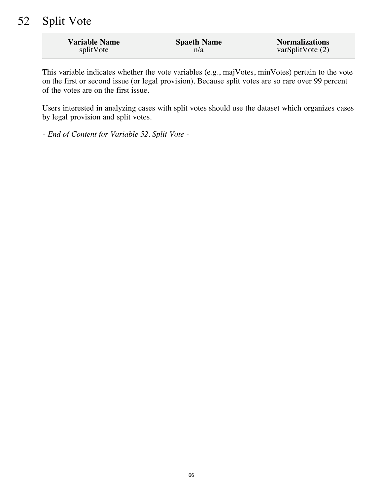### 52 Split Vote

| <b>Variable Name</b> | <b>Spaeth Name</b> | <b>Normalizations</b> |
|----------------------|--------------------|-----------------------|
| splitVote            | n/a                | varSplitVote $(2)$    |

This variable indicates whether the vote variables (e.g., majVotes, minVotes) pertain to the vote on the first or second issue (or legal provision). Because split votes are so rare over 99 percent of the votes are on the first issue.

Users interested in analyzing cases with split votes should use the dataset which organizes cases by legal provision and split votes.

*- End of Content for Variable 52. Split Vote -*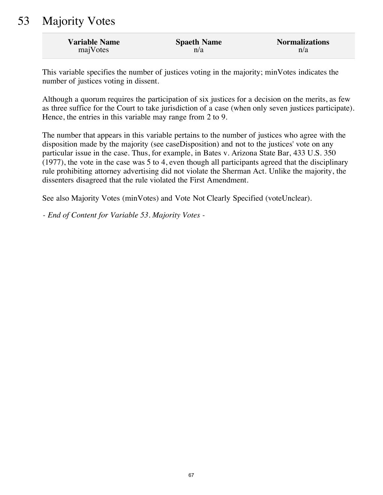### 53 Majority Votes

| <b>Variable Name</b> | <b>Spaeth Name</b> | <b>Normalizations</b> |
|----------------------|--------------------|-----------------------|
| majVotes             | n/a                | n/a                   |

This variable specifies the number of justices voting in the majority; minVotes indicates the number of justices voting in dissent.

Although a quorum requires the participation of six justices for a decision on the merits, as few as three suffice for the Court to take jurisdiction of a case (when only seven justices participate). Hence, the entries in this variable may range from 2 to 9.

The number that appears in this variable pertains to the number of justices who agree with the disposition made by the majority (see caseDisposition) and not to the justices' vote on any particular issue in the case. Thus, for example, in Bates v. Arizona State Bar, 433 U.S. 350  $(1977)$ , the vote in the case was 5 to 4, even though all participants agreed that the disciplinary rule prohibiting attorney advertising did not violate the Sherman Act. Unlike the majority, the dissenters disagreed that the rule violated the First Amendment.

See also Majority Votes (minVotes) and Vote Not Clearly Specified (voteUnclear).

*- End of Content for Variable 53. Majority Votes -*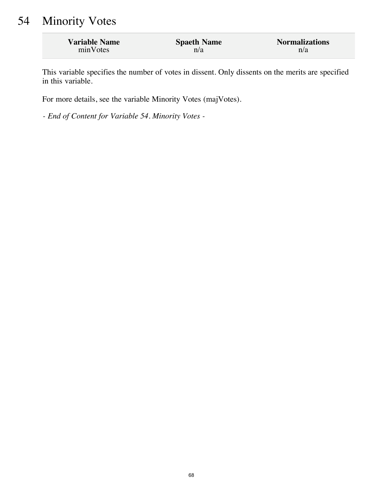### 54 Minority Votes

| <b>Variable Name</b> | <b>Spaeth Name</b> | <b>Normalizations</b> |
|----------------------|--------------------|-----------------------|
| minVotes             | n/a                | n/a                   |

This variable specifies the number of votes in dissent. Only dissents on the merits are specified in this variable.

For more details, see the variable Minority Votes (majVotes).

*- End of Content for Variable 54. Minority Votes -*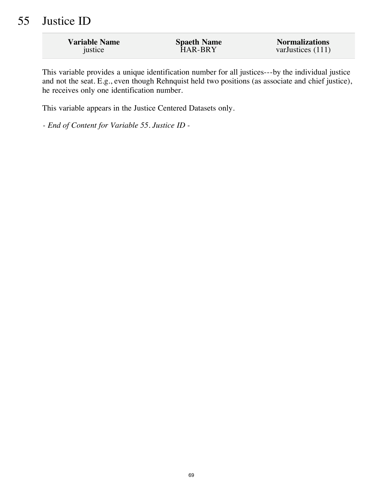### 55 Justice ID

| <b>Variable Name</b> | <b>Spaeth Name</b> | <b>Normalizations</b> |
|----------------------|--------------------|-----------------------|
| justice              | HAR-BRY            | varJustices (111)     |
|                      |                    |                       |

This variable provides a unique identification number for all justices---by the individual justice and not the seat. E.g., even though Rehnquist held two positions (as associate and chief justice), he receives only one identification number.

This variable appears in the Justice Centered Datasets only.

*- End of Content for Variable 55. Justice ID -*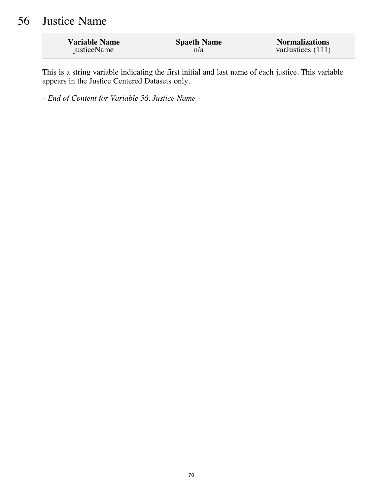## 56 Justice Name

| <b>Variable Name</b> | <b>Spaeth Name</b> | <b>Normalizations</b> |
|----------------------|--------------------|-----------------------|
| justiceName          | n/a                | varJustices $(111)$   |

This is a string variable indicating the first initial and last name of each justice. This variable appears in the Justice Centered Datasets only.

*- End of Content for Variable 56. Justice Name -*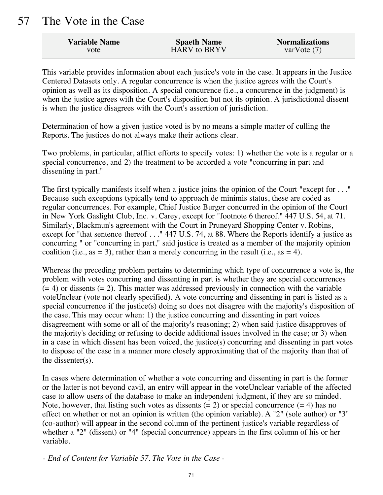#### 57 The Vote in the Case

| <b>Variable Name</b> | <b>Spaeth Name</b> | <b>Normalizations</b> |
|----------------------|--------------------|-----------------------|
| vote                 | HARV to BRYV       | var $V$ ote $(7)$     |

This variable provides information about each justice's vote in the case. It appears in the Justice Centered Datasets only. A regular concurrence is when the justice agrees with the Court's opinion as well as its disposition. A special concurence (i.e., a concurence in the judgment) is when the justice agrees with the Court's disposition but not its opinion. A jurisdictional dissent is when the justice disagrees with the Court's assertion of jurisdiction.

Determination of how a given justice voted is by no means a simple matter of culling the Reports. The justices do not always make their actions clear.

Two problems, in particular, afflict efforts to specify votes: 1) whether the vote is a regular or a special concurrence, and 2) the treatment to be accorded a vote "concurring in part and dissenting in part."

The first typically manifests itself when a justice joins the opinion of the Court "except for . . ." Because such exceptions typically tend to approach de minimis status, these are coded as regular concurrences. For example, Chief Justice Burger concurred in the opinion of the Court in New York Gaslight Club, Inc. v. Carey, except for "footnote 6 thereof." 447 U.S. 54, at 71. Similarly, Blackmun's agreement with the Court in Pruneyard Shopping Center v. Robins, except for "that sentence thereof . . ." 447 U.S. 74, at 88. Where the Reports identify a justice as concurring " or "concurring in part," said justice is treated as a member of the majority opinion coalition (i.e., as = 3), rather than a merely concurring in the result (i.e., as = 4).

Whereas the preceding problem pertains to determining which type of concurrence a vote is, the problem with votes concurring and dissenting in part is whether they are special concurrences  $(= 4)$  or dissents  $(= 2)$ . This matter was addressed previously in connection with the variable voteUnclear (vote not clearly specified). A vote concurring and dissenting in part is listed as a special concurrence if the justice(s) doing so does not disagree with the majority's disposition of the case. This may occur when: 1) the justice concurring and dissenting in part voices disagreement with some or all of the majority's reasoning; 2) when said justice disapproves of the majority's deciding or refusing to decide additional issues involved in the case; or 3) when in a case in which dissent has been voiced, the justice(s) concurring and dissenting in part votes to dispose of the case in a manner more closely approximating that of the majority than that of the dissenter(s).

In cases where determination of whether a vote concurring and dissenting in part is the former or the latter is not beyond cavil, an entry will appear in the voteUnclear variable of the affected case to allow users of the database to make an independent judgment, if they are so minded. Note, however, that listing such votes as dissents  $(= 2)$  or special concurrence  $(= 4)$  has no effect on whether or not an opinion is written (the opinion variable). A "2" (sole author) or "3" (co-author) will appear in the second column of the pertinent justice's variable regardless of whether a "2" (dissent) or "4" (special concurrence) appears in the first column of his or her variable.

*- End of Content for Variable 57. The Vote in the Case -*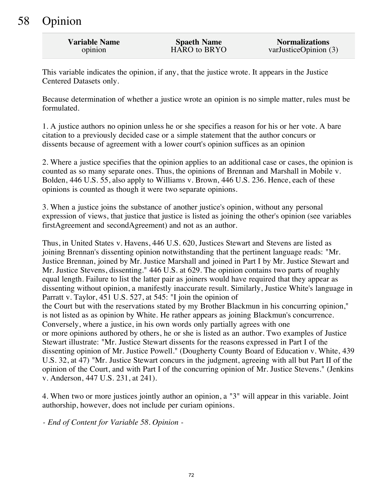# 58 Opinion

| <b>Variable Name</b> | <b>Spaeth Name</b> | <b>Normalizations</b> |
|----------------------|--------------------|-----------------------|
| opinion              | HARO to BRYO       | varJusticeOpinion (3) |

This variable indicates the opinion, if any, that the justice wrote. It appears in the Justice Centered Datasets only.

Because determination of whether a justice wrote an opinion is no simple matter, rules must be formulated.

1. A justice authors no opinion unless he or she specifies a reason for his or her vote. A bare citation to a previously decided case or a simple statement that the author concurs or dissents because of agreement with a lower court's opinion suffices as an opinion

2. Where a justice specifies that the opinion applies to an additional case or cases, the opinion is counted as so many separate ones. Thus, the opinions of Brennan and Marshall in Mobile v. Bolden, 446 U.S. 55, also apply to Williams v. Brown, 446 U.S. 236. Hence, each of these opinions is counted as though it were two separate opinions.

3. When a justice joins the substance of another justice's opinion, without any personal expression of views, that justice that justice is listed as joining the other's opinion (see variables firstAgreement and secondAgreement) and not as an author.

Thus, in United States v. Havens, 446 U.S. 620, Justices Stewart and Stevens are listed as joining Brennan's dissenting opinion notwithstanding that the pertinent language reads: "Mr. Justice Brennan, joined by Mr. Justice Marshall and joined in Part I by Mr. Justice Stewart and Mr. Justice Stevens, dissenting." 446 U.S. at 629. The opinion contains two parts of roughly equal length. Failure to list the latter pair as joiners would have required that they appear as dissenting without opinion, a manifestly inaccurate result. Similarly, Justice White's language in Parratt v. Taylor, 451 U.S. 527, at 545: "I join the opinion of the Court but with the reservations stated by my Brother Blackmun in his concurring opinion," is not listed as as opinion by White. He rather appears as joining Blackmun's concurrence. Conversely, where a justice, in his own words only partially agrees with one or more opinions authored by others, he or she is listed as an author. Two examples of Justice Stewart illustrate: "Mr. Justice Stewart dissents for the reasons expressed in Part I of the dissenting opinion of Mr. Justice Powell." (Dougherty County Board of Education v. White, 439 U.S. 32, at 47) "Mr. Justice Stewart concurs in the judgment, agreeing with all but Part II of the opinion of the Court, and with Part I of the concurring opinion of Mr. Justice Stevens." (Jenkins v. Anderson, 447 U.S. 231, at 241).

4. When two or more justices jointly author an opinion, a "3" will appear in this variable. Joint authorship, however, does not include per curiam opinions.

*- End of Content for Variable 58. Opinion -*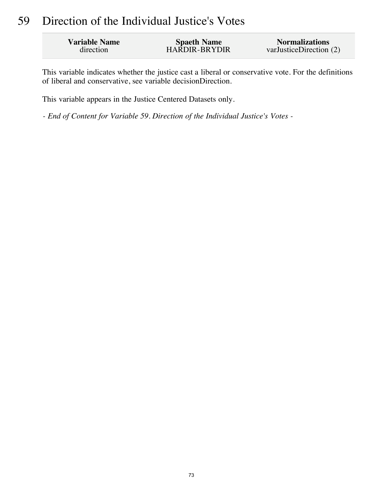# 59 Direction of the Individual Justice's Votes

| <b>Variable Name</b> | <b>Spaeth Name</b>   | <b>Normalizations</b>   |
|----------------------|----------------------|-------------------------|
| direction            | <b>HARDIR-BRYDIR</b> | varJusticeDirection (2) |

This variable indicates whether the justice cast a liberal or conservative vote. For the definitions of liberal and conservative, see variable decisionDirection.

This variable appears in the Justice Centered Datasets only.

*- End of Content for Variable 59. Direction of the Individual Justice's Votes -*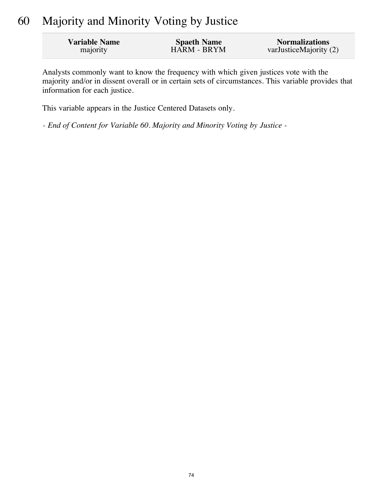# 60 Majority and Minority Voting by Justice

| <b>Variable Name</b> | <b>Spaeth Name</b> | <b>Normalizations</b>  |
|----------------------|--------------------|------------------------|
| majority             | HARM - BRYM        | varJusticeMajority (2) |

Analysts commonly want to know the frequency with which given justices vote with the majority and/or in dissent overall or in certain sets of circumstances. This variable provides that information for each justice.

This variable appears in the Justice Centered Datasets only.

*- End of Content for Variable 60. Majority and Minority Voting by Justice -*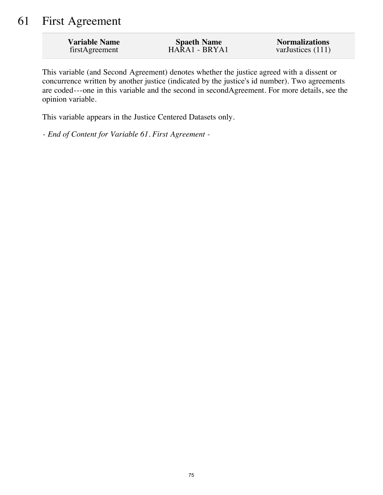# 61 First Agreement

| <b>Variable Name</b> | <b>Spaeth Name</b> | <b>Normalizations</b> |
|----------------------|--------------------|-----------------------|
| firstAgreement       | HARA1 - BRYA1      | varJustices $(111)$   |

This variable (and Second Agreement) denotes whether the justice agreed with a dissent or concurrence written by another justice (indicated by the justice's id number). Two agreements are coded---one in this variable and the second in secondAgreement. For more details, see the opinion variable.

This variable appears in the Justice Centered Datasets only.

*- End of Content for Variable 61. First Agreement -*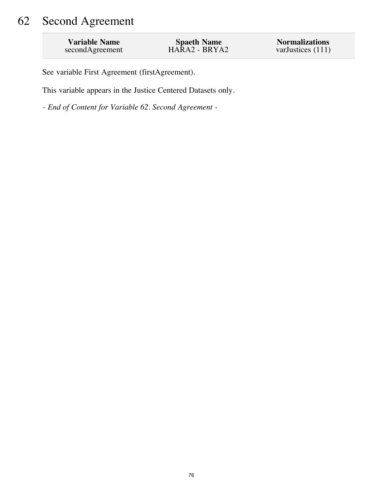# 62 Second Agreement

| <b>Variable Name</b> | <b>Spaeth Name</b> | <b>Normalizations</b> |
|----------------------|--------------------|-----------------------|
| secondAgreement      | $HARA2 - BRYA2$    | varJustices $(111)$   |

See variable First Agreement (firstAgreement).

This variable appears in the Justice Centered Datasets only.

*- End of Content for Variable 62. Second Agreement -*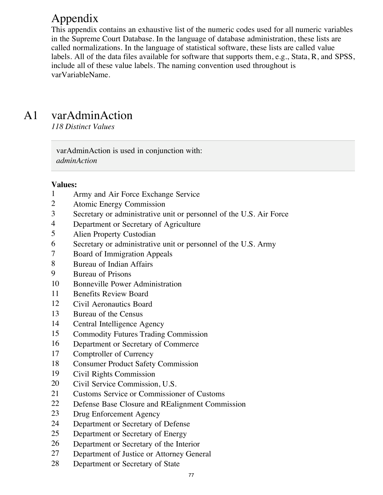# Appendix

This appendix contains an exhaustive list of the numeric codes used for all numeric variables in the Supreme Court Database. In the language of database administration, these lists are called normalizations. In the language of statistical software, these lists are called value labels. All of the data files available for software that supports them, e.g., Stata, R, and SPSS, include all of these value labels. The naming convention used throughout is varVariableName.

# A1 varAdminAction

*118 Distinct Values*

varAdminAction is used in conjunction with: *adminAction*

- Army and Air Force Exchange Service
- Atomic Energy Commission
- Secretary or administrative unit or personnel of the U.S. Air Force
- Department or Secretary of Agriculture
- Alien Property Custodian
- Secretary or administrative unit or personnel of the U.S. Army
- Board of Immigration Appeals
- Bureau of Indian Affairs
- Bureau of Prisons
- Bonneville Power Administration
- Benefits Review Board
- Civil Aeronautics Board
- Bureau of the Census
- Central Intelligence Agency
- Commodity Futures Trading Commission
- Department or Secretary of Commerce
- Comptroller of Currency
- Consumer Product Safety Commission
- Civil Rights Commission
- Civil Service Commission, U.S.
- Customs Service or Commissioner of Customs
- Defense Base Closure and REalignment Commission
- Drug Enforcement Agency
- Department or Secretary of Defense
- Department or Secretary of Energy
- Department or Secretary of the Interior
- Department of Justice or Attorney General
- Department or Secretary of State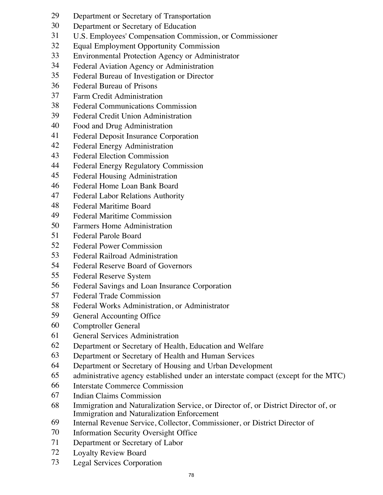- Department or Secretary of Transportation
- Department or Secretary of Education
- U.S. Employees' Compensation Commission, or Commissioner
- Equal Employment Opportunity Commission
- Environmental Protection Agency or Administrator
- Federal Aviation Agency or Administration
- Federal Bureau of Investigation or Director
- Federal Bureau of Prisons
- Farm Credit Administration
- Federal Communications Commission
- Federal Credit Union Administration
- Food and Drug Administration
- Federal Deposit Insurance Corporation
- Federal Energy Administration
- Federal Election Commission
- Federal Energy Regulatory Commission
- Federal Housing Administration
- Federal Home Loan Bank Board
- Federal Labor Relations Authority
- Federal Maritime Board
- Federal Maritime Commission
- Farmers Home Administration
- Federal Parole Board
- Federal Power Commission
- Federal Railroad Administration
- Federal Reserve Board of Governors
- Federal Reserve System
- Federal Savings and Loan Insurance Corporation
- Federal Trade Commission
- Federal Works Administration, or Administrator
- General Accounting Office
- Comptroller General
- General Services Administration
- Department or Secretary of Health, Education and Welfare
- Department or Secretary of Health and Human Services
- Department or Secretary of Housing and Urban Development
- administrative agency established under an interstate compact (except for the MTC)
- Interstate Commerce Commission
- Indian Claims Commission
- Immigration and Naturalization Service, or Director of, or District Director of, or Immigration and Naturalization Enforcement
- Internal Revenue Service, Collector, Commissioner, or District Director of
- Information Security Oversight Office
- Department or Secretary of Labor
- Loyalty Review Board
- Legal Services Corporation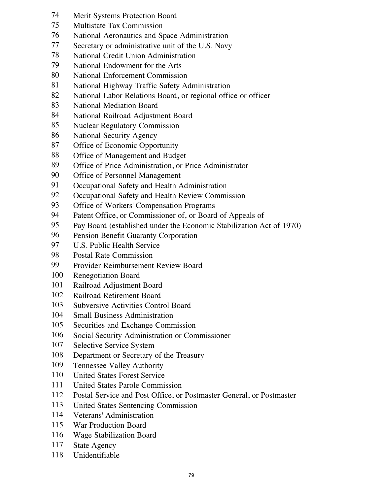- Merit Systems Protection Board
- Multistate Tax Commission
- National Aeronautics and Space Administration
- Secretary or administrative unit of the U.S. Navy
- National Credit Union Administration
- National Endowment for the Arts
- National Enforcement Commission
- National Highway Traffic Safety Administration
- National Labor Relations Board, or regional office or officer
- National Mediation Board
- National Railroad Adjustment Board
- Nuclear Regulatory Commission
- National Security Agency
- Office of Economic Opportunity
- Office of Management and Budget
- Office of Price Administration, or Price Administrator
- Office of Personnel Management
- Occupational Safety and Health Administration
- Occupational Safety and Health Review Commission
- Office of Workers' Compensation Programs
- Patent Office, or Commissioner of, or Board of Appeals of
- Pay Board (established under the Economic Stabilization Act of 1970)
- Pension Benefit Guaranty Corporation
- U.S. Public Health Service
- Postal Rate Commission
- Provider Reimbursement Review Board
- Renegotiation Board
- Railroad Adjustment Board
- Railroad Retirement Board
- Subversive Activities Control Board
- Small Business Administration
- Securities and Exchange Commission
- Social Security Administration or Commissioner
- Selective Service System
- Department or Secretary of the Treasury
- Tennessee Valley Authority
- United States Forest Service
- United States Parole Commission
- Postal Service and Post Office, or Postmaster General, or Postmaster
- United States Sentencing Commission
- Veterans' Administration
- War Production Board
- Wage Stabilization Board
- State Agency
- Unidentifiable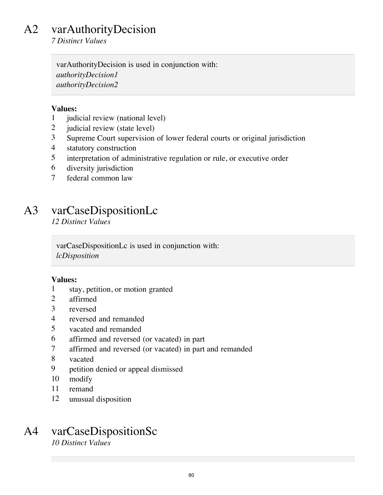# A2 varAuthorityDecision

*7 Distinct Values*

varAuthorityDecision is used in conjunction with: *authorityDecision1 authorityDecision2*

### **Values:**

- 1 judicial review (national level)
- 2 judicial review (state level)
- 3 Supreme Court supervision of lower federal courts or original jurisdiction
- 4 statutory construction
- 5 interpretation of administrative regulation or rule, or executive order
- 6 diversity jurisdiction
- 7 federal common law

# A3 varCaseDispositionLc

*12 Distinct Values*

varCaseDispositionLc is used in conjunction with: *lcDisposition*

### **Values:**

- 1 stay, petition, or motion granted
- 2 affirmed
- 3 reversed
- 4 reversed and remanded
- 5 vacated and remanded
- 6 affirmed and reversed (or vacated) in part
- 7 affirmed and reversed (or vacated) in part and remanded
- 8 vacated
- 9 petition denied or appeal dismissed
- 10 modify
- 11 remand
- 12 unusual disposition

### A4 varCaseDispositionSc *10 Distinct Values*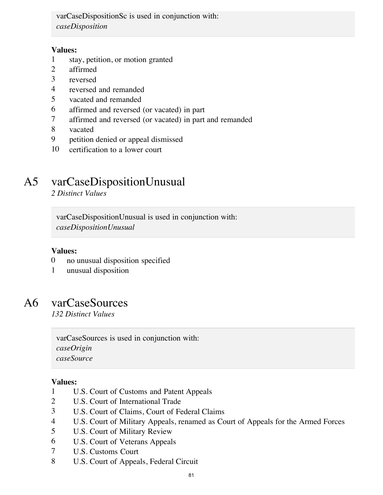varCaseDispositionSc is used in conjunction with: *caseDisposition*

### **Values:**

- 1 stay, petition, or motion granted
- 2 affirmed
- 3 reversed
- 4 reversed and remanded
- 5 vacated and remanded
- 6 affirmed and reversed (or vacated) in part
- 7 affirmed and reversed (or vacated) in part and remanded
- 8 vacated
- 9 petition denied or appeal dismissed
- 10 certification to a lower court

# A5 varCaseDispositionUnusual

*2 Distinct Values*

varCaseDispositionUnusual is used in conjunction with: *caseDispositionUnusual*

### **Values:**

- 0 no unusual disposition specified
- 1 unusual disposition

### A6 varCaseSources

*132 Distinct Values*

varCaseSources is used in conjunction with: *caseOrigin caseSource*

- 1 U.S. Court of Customs and Patent Appeals
- 2 U.S. Court of International Trade
- 3 U.S. Court of Claims, Court of Federal Claims
- 4 U.S. Court of Military Appeals, renamed as Court of Appeals for the Armed Forces
- 5 U.S. Court of Military Review
- 6 U.S. Court of Veterans Appeals
- 7 U.S. Customs Court
- 8 U.S. Court of Appeals, Federal Circuit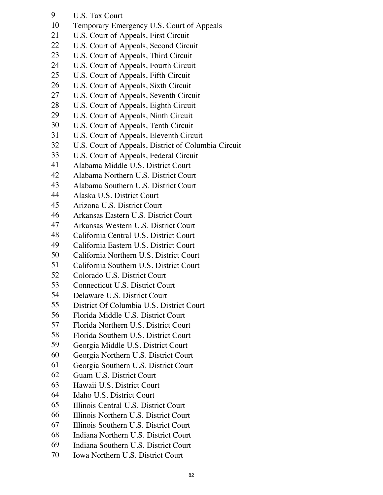- U.S. Tax Court
- Temporary Emergency U.S. Court of Appeals
- U.S. Court of Appeals, First Circuit
- 22 U.S. Court of Appeals, Second Circuit
- U.S. Court of Appeals, Third Circuit
- U.S. Court of Appeals, Fourth Circuit
- U.S. Court of Appeals, Fifth Circuit
- U.S. Court of Appeals, Sixth Circuit
- U.S. Court of Appeals, Seventh Circuit
- U.S. Court of Appeals, Eighth Circuit
- U.S. Court of Appeals, Ninth Circuit
- U.S. Court of Appeals, Tenth Circuit
- U.S. Court of Appeals, Eleventh Circuit
- U.S. Court of Appeals, District of Columbia Circuit
- U.S. Court of Appeals, Federal Circuit
- Alabama Middle U.S. District Court
- Alabama Northern U.S. District Court
- Alabama Southern U.S. District Court
- Alaska U.S. District Court
- Arizona U.S. District Court
- Arkansas Eastern U.S. District Court
- Arkansas Western U.S. District Court
- California Central U.S. District Court
- California Eastern U.S. District Court
- California Northern U.S. District Court
- California Southern U.S. District Court
- Colorado U.S. District Court
- Connecticut U.S. District Court
- Delaware U.S. District Court
- District Of Columbia U.S. District Court
- Florida Middle U.S. District Court
- Florida Northern U.S. District Court
- Florida Southern U.S. District Court
- Georgia Middle U.S. District Court
- Georgia Northern U.S. District Court
- Georgia Southern U.S. District Court
- Guam U.S. District Court
- Hawaii U.S. District Court
- Idaho U.S. District Court
- Illinois Central U.S. District Court
- Illinois Northern U.S. District Court
- Illinois Southern U.S. District Court
- Indiana Northern U.S. District Court
- Indiana Southern U.S. District Court
- Iowa Northern U.S. District Court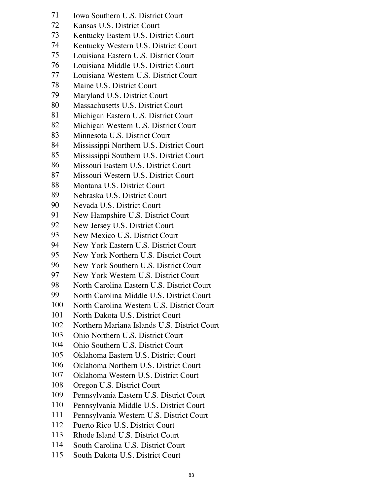- Iowa Southern U.S. District Court
- Kansas U.S. District Court
- Kentucky Eastern U.S. District Court
- Kentucky Western U.S. District Court
- Louisiana Eastern U.S. District Court
- Louisiana Middle U.S. District Court
- Louisiana Western U.S. District Court
- Maine U.S. District Court
- Maryland U.S. District Court
- Massachusetts U.S. District Court
- Michigan Eastern U.S. District Court
- Michigan Western U.S. District Court
- Minnesota U.S. District Court
- Mississippi Northern U.S. District Court
- Mississippi Southern U.S. District Court
- Missouri Eastern U.S. District Court
- Missouri Western U.S. District Court
- Montana U.S. District Court
- Nebraska U.S. District Court
- Nevada U.S. District Court
- New Hampshire U.S. District Court
- New Jersey U.S. District Court
- New Mexico U.S. District Court
- New York Eastern U.S. District Court
- New York Northern U.S. District Court
- New York Southern U.S. District Court
- New York Western U.S. District Court
- North Carolina Eastern U.S. District Court
- North Carolina Middle U.S. District Court
- North Carolina Western U.S. District Court
- North Dakota U.S. District Court
- Northern Mariana Islands U.S. District Court
- Ohio Northern U.S. District Court
- Ohio Southern U.S. District Court
- Oklahoma Eastern U.S. District Court
- Oklahoma Northern U.S. District Court
- Oklahoma Western U.S. District Court
- Oregon U.S. District Court
- Pennsylvania Eastern U.S. District Court
- Pennsylvania Middle U.S. District Court
- Pennsylvania Western U.S. District Court
- Puerto Rico U.S. District Court
- Rhode Island U.S. District Court
- South Carolina U.S. District Court
- South Dakota U.S. District Court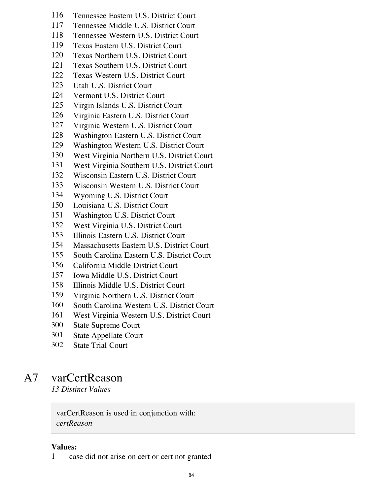- Tennessee Eastern U.S. District Court
- Tennessee Middle U.S. District Court
- Tennessee Western U.S. District Court
- Texas Eastern U.S. District Court
- Texas Northern U.S. District Court
- Texas Southern U.S. District Court
- Texas Western U.S. District Court
- Utah U.S. District Court
- Vermont U.S. District Court
- Virgin Islands U.S. District Court
- Virginia Eastern U.S. District Court
- Virginia Western U.S. District Court
- Washington Eastern U.S. District Court
- Washington Western U.S. District Court
- West Virginia Northern U.S. District Court
- West Virginia Southern U.S. District Court
- Wisconsin Eastern U.S. District Court
- Wisconsin Western U.S. District Court
- Wyoming U.S. District Court
- Louisiana U.S. District Court
- Washington U.S. District Court
- West Virginia U.S. District Court
- Illinois Eastern U.S. District Court
- Massachusetts Eastern U.S. District Court
- South Carolina Eastern U.S. District Court
- California Middle District Court
- Iowa Middle U.S. District Court
- Illinois Middle U.S. District Court
- Virginia Northern U.S. District Court
- South Carolina Western U.S. District Court
- West Virginia Western U.S. District Court
- State Supreme Court
- State Appellate Court
- State Trial Court

### A7 varCertReason

*13 Distinct Values*

varCertReason is used in conjunction with: *certReason*

### **Values:**

case did not arise on cert or cert not granted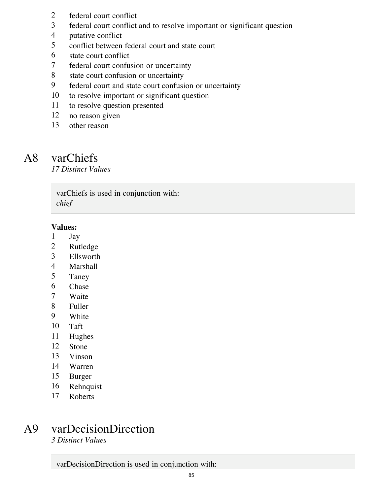- 2 federal court conflict<br>3 federal court conflict
- federal court conflict and to resolve important or significant question
- putative conflict
- conflict between federal court and state court
- state court conflict
- federal court confusion or uncertainty
- state court confusion or uncertainty
- federal court and state court confusion or uncertainty
- to resolve important or significant question
- to resolve question presented
- no reason given
- other reason

### A8 varChiefs

*17 Distinct Values*

varChiefs is used in conjunction with: *chief*

### **Values:**

- Jay
- Rutledge
- Ellsworth
- Marshall
- Taney
- Chase
- Waite
- Fuller
- White
- Taft
- Hughes
- Stone
- Vinson
- Warren
- Burger
- Rehnquist
- Roberts

# A9 varDecisionDirection

*3 Distinct Values*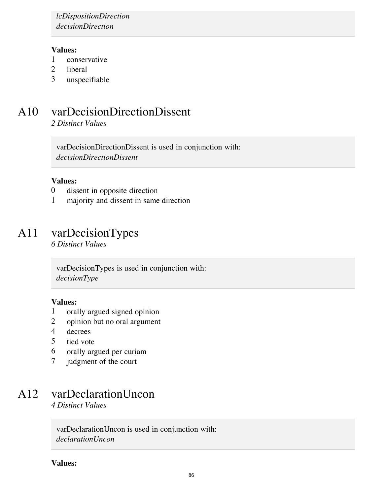*lcDispositionDirection decisionDirection*

### **Values:**

- 1 conservative
- 2 liberal
- 3 unspecifiable

# A10 varDecisionDirectionDissent

*2 Distinct Values*

varDecisionDirectionDissent is used in conjunction with: *decisionDirectionDissent*

#### **Values:**

- 0 dissent in opposite direction
- 1 majority and dissent in same direction

### A11 varDecisionTypes

*6 Distinct Values*

varDecisionTypes is used in conjunction with: *decisionType*

#### **Values:**

- 1 orally argued signed opinion
- 2 opinion but no oral argument
- 4 decrees
- 5 tied vote
- 6 orally argued per curiam
- 7 judgment of the court

# A12 varDeclarationUncon

*4 Distinct Values*

varDeclarationUncon is used in conjunction with: *declarationUncon*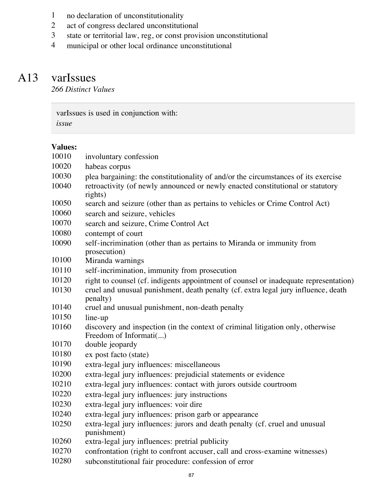- 1 no declaration of unconstitutionality<br>2 act of congress declared unconstitution
- 2 act of congress declared unconstitutional<br>3 state or territorial law, reg, or const provi
- 3 state or territorial law, reg, or const provision unconstitutional<br>4 municipal or other local ordinance unconstitutional
- municipal or other local ordinance unconstitutional

# A13 varIssues

*266 Distinct Values*

varIssues is used in conjunction with: *issue*

| 10010 | involuntary confession                                                                                    |
|-------|-----------------------------------------------------------------------------------------------------------|
| 10020 | habeas corpus                                                                                             |
| 10030 | plea bargaining: the constitutionality of and/or the circumstances of its exercise                        |
| 10040 | retroactivity (of newly announced or newly enacted constitutional or statutory<br>rights)                 |
| 10050 | search and seizure (other than as pertains to vehicles or Crime Control Act)                              |
| 10060 | search and seizure, vehicles                                                                              |
| 10070 | search and seizure, Crime Control Act                                                                     |
| 10080 | contempt of court                                                                                         |
| 10090 | self-incrimination (other than as pertains to Miranda or immunity from<br>prosecution)                    |
| 10100 | Miranda warnings                                                                                          |
| 10110 | self-incrimination, immunity from prosecution                                                             |
| 10120 | right to counsel (cf. indigents appointment of counsel or inadequate representation)                      |
| 10130 | cruel and unusual punishment, death penalty (cf. extra legal jury influence, death<br>penalty)            |
| 10140 | cruel and unusual punishment, non-death penalty                                                           |
| 10150 | line-up                                                                                                   |
| 10160 | discovery and inspection (in the context of criminal litigation only, otherwise<br>Freedom of Informati() |
| 10170 | double jeopardy                                                                                           |
| 10180 | ex post facto (state)                                                                                     |
| 10190 | extra-legal jury influences: miscellaneous                                                                |
| 10200 | extra-legal jury influences: prejudicial statements or evidence                                           |
| 10210 | extra-legal jury influences: contact with jurors outside courtroom                                        |
| 10220 | extra-legal jury influences: jury instructions                                                            |
| 10230 | extra-legal jury influences: voir dire                                                                    |
| 10240 | extra-legal jury influences: prison garb or appearance                                                    |
| 10250 | extra-legal jury influences: jurors and death penalty (cf. cruel and unusual<br>punishment)               |
| 10260 | extra-legal jury influences: pretrial publicity                                                           |
| 10270 | confrontation (right to confront accuser, call and cross-examine witnesses)                               |
| 10280 | subconstitutional fair procedure: confession of error                                                     |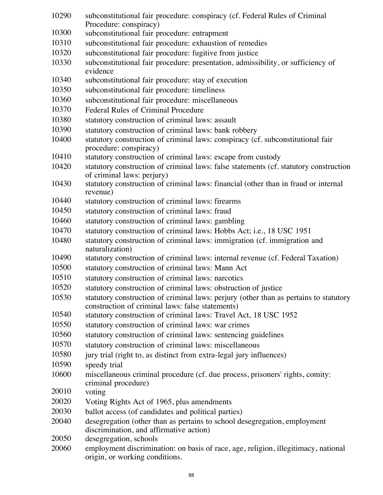- subconstitutional fair procedure: conspiracy (cf. Federal Rules of Criminal Procedure: conspiracy)
- subconstitutional fair procedure: entrapment
- subconstitutional fair procedure: exhaustion of remedies
- subconstitutional fair procedure: fugitive from justice
- subconstitutional fair procedure: presentation, admissibility, or sufficiency of evidence
- subconstitutional fair procedure: stay of execution
- subconstitutional fair procedure: timeliness
- subconstitutional fair procedure: miscellaneous
- Federal Rules of Criminal Procedure
- statutory construction of criminal laws: assault
- statutory construction of criminal laws: bank robbery
- statutory construction of criminal laws: conspiracy (cf. subconstitutional fair procedure: conspiracy)
- statutory construction of criminal laws: escape from custody
- statutory construction of criminal laws: false statements (cf. statutory construction of criminal laws: perjury)
- statutory construction of criminal laws: financial (other than in fraud or internal revenue)
- statutory construction of criminal laws: firearms
- statutory construction of criminal laws: fraud
- statutory construction of criminal laws: gambling
- statutory construction of criminal laws: Hobbs Act; i.e., 18 USC 1951
- statutory construction of criminal laws: immigration (cf. immigration and naturalization)
- statutory construction of criminal laws: internal revenue (cf. Federal Taxation)
- statutory construction of criminal laws: Mann Act
- statutory construction of criminal laws: narcotics
- statutory construction of criminal laws: obstruction of justice
- statutory construction of criminal laws: perjury (other than as pertains to statutory construction of criminal laws: false statements)
- statutory construction of criminal laws: Travel Act, 18 USC 1952
- statutory construction of criminal laws: war crimes
- statutory construction of criminal laws: sentencing guidelines
- statutory construction of criminal laws: miscellaneous
- 10580 jury trial (right to, as distinct from extra-legal jury influences)
- speedy trial
- miscellaneous criminal procedure (cf. due process, prisoners' rights, comity: criminal procedure)
- voting
- Voting Rights Act of 1965, plus amendments
- ballot access (of candidates and political parties)
- desegregation (other than as pertains to school desegregation, employment discrimination, and affirmative action)
- desegregation, schools
- employment discrimination: on basis of race, age, religion, illegitimacy, national origin, or working conditions.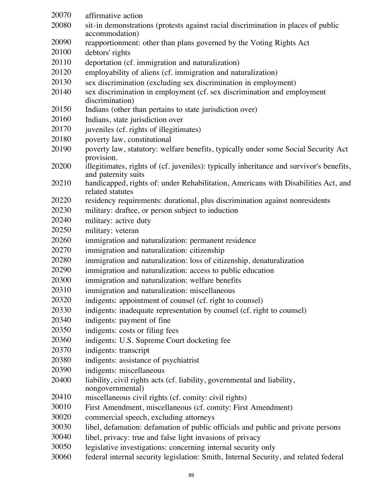| 20070 | affirmative action                                                                                              |
|-------|-----------------------------------------------------------------------------------------------------------------|
| 20080 | sit-in demonstrations (protests against racial discrimination in places of public                               |
|       | accommodation)                                                                                                  |
| 20090 | reapportionment: other than plans governed by the Voting Rights Act                                             |
| 20100 | debtors' rights                                                                                                 |
| 20110 | deportation (cf. immigration and naturalization)                                                                |
| 20120 | employability of aliens (cf. immigration and naturalization)                                                    |
| 20130 | sex discrimination (excluding sex discrimination in employment)                                                 |
| 20140 | sex discrimination in employment (cf. sex discrimination and employment<br>discrimination)                      |
| 20150 | Indians (other than pertains to state jurisdiction over)                                                        |
| 20160 | Indians, state jurisdiction over                                                                                |
| 20170 | juveniles (cf. rights of illegitimates)                                                                         |
| 20180 | poverty law, constitutional                                                                                     |
| 20190 | poverty law, statutory: welfare benefits, typically under some Social Security Act<br>provision.                |
| 20200 | illegitimates, rights of (cf. juveniles): typically inheritance and survivor's benefits,<br>and paternity suits |
| 20210 | handicapped, rights of: under Rehabilitation, Americans with Disabilities Act, and<br>related statutes          |
| 20220 | residency requirements: durational, plus discrimination against nonresidents                                    |
| 20230 | military: draftee, or person subject to induction                                                               |
| 20240 | military: active duty                                                                                           |
| 20250 | military: veteran                                                                                               |
| 20260 | immigration and naturalization: permanent residence                                                             |
| 20270 | immigration and naturalization: citizenship                                                                     |
| 20280 | immigration and naturalization: loss of citizenship, denaturalization                                           |
| 20290 | immigration and naturalization: access to public education                                                      |
| 20300 | immigration and naturalization: welfare benefits                                                                |
| 20310 | immigration and naturalization: miscellaneous                                                                   |
| 20320 | indigents: appointment of counsel (cf. right to counsel)                                                        |
| 20330 | indigents: inadequate representation by counsel (cf. right to counsel)                                          |
| 20340 | indigents: payment of fine                                                                                      |
| 20350 | indigents: costs or filing fees                                                                                 |
| 20360 | indigents: U.S. Supreme Court docketing fee                                                                     |
| 20370 | indigents: transcript                                                                                           |
| 20380 | indigents: assistance of psychiatrist                                                                           |
| 20390 | indigents: miscellaneous                                                                                        |
| 20400 | liability, civil rights acts (cf. liability, governmental and liability,<br>nongovernmental)                    |
| 20410 | miscellaneous civil rights (cf. comity: civil rights)                                                           |
| 30010 | First Amendment, miscellaneous (cf. comity: First Amendment)                                                    |
| 30020 | commercial speech, excluding attorneys                                                                          |
| 30030 | libel, defamation: defamation of public officials and public and private persons                                |
| 30040 | libel, privacy: true and false light invasions of privacy                                                       |
| 30050 | legislative investigations: concerning internal security only                                                   |
| 30060 | federal internal security legislation: Smith, Internal Security, and related federal                            |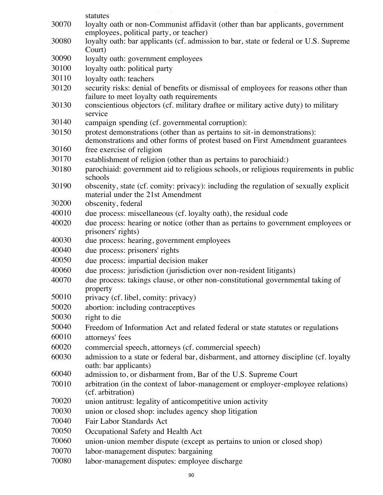|       | statutes                                                                                                                                                   |
|-------|------------------------------------------------------------------------------------------------------------------------------------------------------------|
| 30070 | loyalty oath or non-Communist affidavit (other than bar applicants, government                                                                             |
| 30080 | employees, political party, or teacher)<br>loyalty oath: bar applicants (cf. admission to bar, state or federal or U.S. Supreme                            |
|       | Court)                                                                                                                                                     |
| 30090 | loyalty oath: government employees                                                                                                                         |
| 30100 | loyalty oath: political party                                                                                                                              |
| 30110 | loyalty oath: teachers                                                                                                                                     |
| 30120 | security risks: denial of benefits or dismissal of employees for reasons other than                                                                        |
|       | failure to meet loyalty oath requirements                                                                                                                  |
| 30130 | conscientious objectors (cf. military draftee or military active duty) to military                                                                         |
|       | service                                                                                                                                                    |
| 30140 | campaign spending (cf. governmental corruption):                                                                                                           |
| 30150 | protest demonstrations (other than as pertains to sit-in demonstrations):<br>demonstrations and other forms of protest based on First Amendment guarantees |
| 30160 | free exercise of religion                                                                                                                                  |
| 30170 | establishment of religion (other than as pertains to parochiaid:)                                                                                          |
| 30180 | parochiaid: government aid to religious schools, or religious requirements in public                                                                       |
|       | schools                                                                                                                                                    |
| 30190 | obscenity, state (cf. comity: privacy): including the regulation of sexually explicit                                                                      |
|       | material under the 21st Amendment                                                                                                                          |
| 30200 | obscenity, federal                                                                                                                                         |
| 40010 | due process: miscellaneous (cf. loyalty oath), the residual code                                                                                           |
| 40020 | due process: hearing or notice (other than as pertains to government employees or<br>prisoners' rights)                                                    |
| 40030 | due process: hearing, government employees                                                                                                                 |
| 40040 | due process: prisoners' rights                                                                                                                             |
| 40050 | due process: impartial decision maker                                                                                                                      |
| 40060 | due process: jurisdiction (jurisdiction over non-resident litigants)                                                                                       |
| 40070 | due process: takings clause, or other non-constitutional governmental taking of<br>property                                                                |
| 50010 | privacy (cf. libel, comity: privacy)                                                                                                                       |
| 50020 | abortion: including contraceptives                                                                                                                         |
| 50030 | right to die                                                                                                                                               |
| 50040 | Freedom of Information Act and related federal or state statutes or regulations                                                                            |
| 60010 | attorneys' fees                                                                                                                                            |
| 60020 | commercial speech, attorneys (cf. commercial speech)                                                                                                       |
| 60030 | admission to a state or federal bar, disbarment, and attorney discipline (cf. loyalty<br>oath: bar applicants)                                             |
| 60040 | admission to, or disbarment from, Bar of the U.S. Supreme Court                                                                                            |
| 70010 | arbitration (in the context of labor-management or employer-employee relations)<br>(cf. arbitration)                                                       |
| 70020 | union antitrust: legality of anticompetitive union activity                                                                                                |
| 70030 | union or closed shop: includes agency shop litigation                                                                                                      |
| 70040 | Fair Labor Standards Act                                                                                                                                   |
| 70050 | Occupational Safety and Health Act                                                                                                                         |
| 70060 | union-union member dispute (except as pertains to union or closed shop)                                                                                    |
| 70070 | labor-management disputes: bargaining                                                                                                                      |
| 70080 | labor-management disputes: employee discharge                                                                                                              |
|       |                                                                                                                                                            |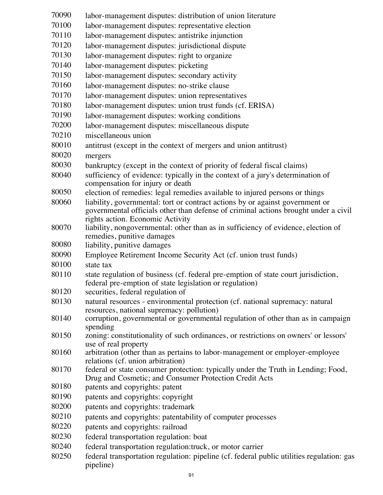labor-management disputes: distribution of union literature labor-management disputes: representative election labor-management disputes: antistrike injunction labor-management disputes: jurisdictional dispute labor-management disputes: right to organize labor-management disputes: picketing labor-management disputes: secondary activity labor-management disputes: no-strike clause labor-management disputes: union representatives labor-management disputes: union trust funds (cf. ERISA) labor-management disputes: working conditions labor-management disputes: miscellaneous dispute miscellaneous union antitrust (except in the context of mergers and union antitrust) mergers bankruptcy (except in the context of priority of federal fiscal claims) sufficiency of evidence: typically in the context of a jury's determination of compensation for injury or death election of remedies: legal remedies available to injured persons or things liability, governmental: tort or contract actions by or against government or governmental officials other than defense of criminal actions brought under a civil rights action. Economic Activity liability, nongovernmental: other than as in sufficiency of evidence, election of remedies, punitive damages liability, punitive damages Employee Retirement Income Security Act (cf. union trust funds) state tax state regulation of business (cf. federal pre-emption of state court jurisdiction, federal pre-emption of state legislation or regulation) securities, federal regulation of natural resources - environmental protection (cf. national supremacy: natural resources, national supremacy: pollution) corruption, governmental or governmental regulation of other than as in campaign spending zoning: constitutionality of such ordinances, or restrictions on owners' or lessors' use of real property arbitration (other than as pertains to labor-management or employer-employee relations (cf. union arbitration) federal or state consumer protection: typically under the Truth in Lending; Food, Drug and Cosmetic; and Consumer Protection Credit Acts patents and copyrights: patent patents and copyrights: copyright patents and copyrights: trademark patents and copyrights: patentability of computer processes patents and copyrights: railroad federal transportation regulation: boat federal transportation regulation:truck, or motor carrier federal transportation regulation: pipeline (cf. federal public utilities regulation: gas pipeline)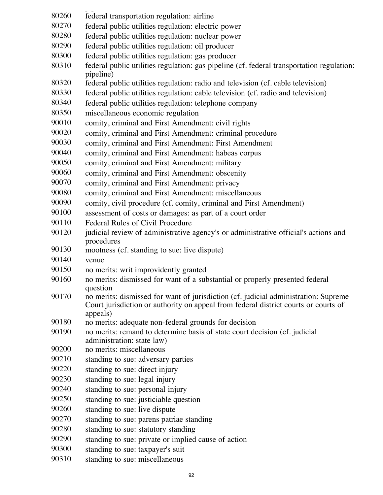- pipeline) federal transportation regulation: airline
- federal public utilities regulation: electric power
- federal public utilities regulation: nuclear power
- federal public utilities regulation: oil producer
- federal public utilities regulation: gas producer
- federal public utilities regulation: gas pipeline (cf. federal transportation regulation: pipeline)
- federal public utilities regulation: radio and television (cf. cable television)
- federal public utilities regulation: cable television (cf. radio and television)
- federal public utilities regulation: telephone company
- miscellaneous economic regulation
- 90010 comity, criminal and First Amendment: civil rights
- comity, criminal and First Amendment: criminal procedure
- comity, criminal and First Amendment: First Amendment
- comity, criminal and First Amendment: habeas corpus
- comity, criminal and First Amendment: military
- comity, criminal and First Amendment: obscenity
- comity, criminal and First Amendment: privacy
- comity, criminal and First Amendment: miscellaneous
- comity, civil procedure (cf. comity, criminal and First Amendment)
- assessment of costs or damages: as part of a court order
- Federal Rules of Civil Procedure
- 90120 judicial review of administrative agency's or administrative official's actions and procedures
- mootness (cf. standing to sue: live dispute)
- venue
- no merits: writ improvidently granted
- no merits: dismissed for want of a substantial or properly presented federal question
- no merits: dismissed for want of jurisdiction (cf. judicial administration: Supreme Court jurisdiction or authority on appeal from federal district courts or courts of appeals)
- no merits: adequate non-federal grounds for decision
- no merits: remand to determine basis of state court decision (cf. judicial administration: state law)
- no merits: miscellaneous
- standing to sue: adversary parties
- standing to sue: direct injury
- standing to sue: legal injury
- standing to sue: personal injury
- standing to sue: justiciable question
- standing to sue: live dispute
- standing to sue: parens patriae standing
- standing to sue: statutory standing
- standing to sue: private or implied cause of action
- standing to sue: taxpayer's suit
- standing to sue: miscellaneous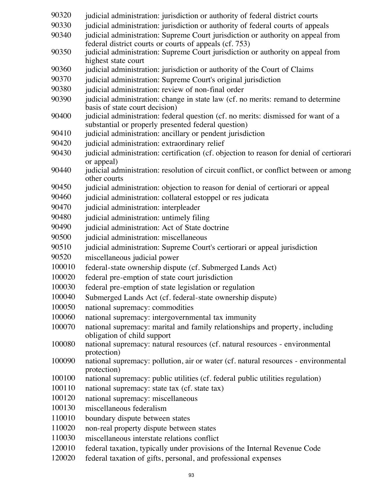| 90320  | judicial administration: jurisdiction or authority of federal district courts                                                             |
|--------|-------------------------------------------------------------------------------------------------------------------------------------------|
| 90330  | judicial administration: jurisdiction or authority of federal courts of appeals                                                           |
| 90340  | judicial administration: Supreme Court jurisdiction or authority on appeal from<br>federal district courts or courts of appeals (cf. 753) |
| 90350  | judicial administration: Supreme Court jurisdiction or authority on appeal from<br>highest state court                                    |
| 90360  | judicial administration: jurisdiction or authority of the Court of Claims                                                                 |
| 90370  | judicial administration: Supreme Court's original jurisdiction                                                                            |
| 90380  | judicial administration: review of non-final order                                                                                        |
| 90390  | judicial administration: change in state law (cf. no merits: remand to determine                                                          |
|        | basis of state court decision)                                                                                                            |
| 90400  | judicial administration: federal question (cf. no merits: dismissed for want of a                                                         |
|        | substantial or properly presented federal question)                                                                                       |
| 90410  | judicial administration: ancillary or pendent jurisdiction                                                                                |
| 90420  | judicial administration: extraordinary relief                                                                                             |
| 90430  | judicial administration: certification (cf. objection to reason for denial of certiorari<br>or appeal)                                    |
| 90440  | judicial administration: resolution of circuit conflict, or conflict between or among<br>other courts                                     |
| 90450  | judicial administration: objection to reason for denial of certiorari or appeal                                                           |
| 90460  | judicial administration: collateral estoppel or res judicata                                                                              |
| 90470  | judicial administration: interpleader                                                                                                     |
| 90480  | judicial administration: untimely filing                                                                                                  |
| 90490  | judicial administration: Act of State doctrine                                                                                            |
| 90500  | judicial administration: miscellaneous                                                                                                    |
| 90510  | judicial administration: Supreme Court's certiorari or appeal jurisdiction                                                                |
| 90520  | miscellaneous judicial power                                                                                                              |
| 100010 | federal-state ownership dispute (cf. Submerged Lands Act)                                                                                 |
| 100020 | federal pre-emption of state court jurisdiction                                                                                           |
| 100030 | federal pre-emption of state legislation or regulation                                                                                    |
| 100040 | Submerged Lands Act (cf. federal-state ownership dispute)                                                                                 |
| 100050 | national supremacy: commodities                                                                                                           |
| 100060 | national supremacy: intergovernmental tax immunity                                                                                        |
| 100070 | national supremacy: marital and family relationships and property, including<br>obligation of child support                               |
| 100080 | national supremacy: natural resources (cf. natural resources - environmental<br>protection)                                               |
| 100090 | national supremacy: pollution, air or water (cf. natural resources - environmental<br>protection)                                         |
| 100100 | national supremacy: public utilities (cf. federal public utilities regulation)                                                            |
| 100110 | national supremacy: state tax (cf. state tax)                                                                                             |
| 100120 | national supremacy: miscellaneous                                                                                                         |
| 100130 | miscellaneous federalism                                                                                                                  |
| 110010 | boundary dispute between states                                                                                                           |
| 110020 | non-real property dispute between states                                                                                                  |
| 110030 | miscellaneous interstate relations conflict                                                                                               |
| 120010 | federal taxation, typically under provisions of the Internal Revenue Code                                                                 |
| 120020 | federal taxation of gifts, personal, and professional expenses                                                                            |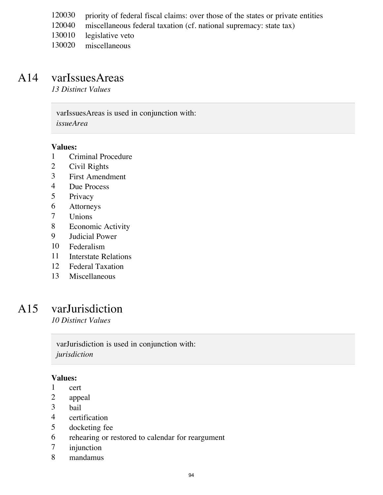- priority of federal fiscal claims: over those of the states or private entities
- miscellaneous federal taxation (cf. national supremacy: state tax)
- legislative veto
- miscellaneous

### A14 varIssuesAreas

*13 Distinct Values*

varIssuesAreas is used in conjunction with: *issueArea*

#### **Values:**

- Criminal Procedure
- Civil Rights
- First Amendment
- Due Process
- Privacy
- Attorneys
- Unions
- Economic Activity
- Judicial Power
- Federalism
- Interstate Relations
- Federal Taxation
- Miscellaneous

### A15 varJurisdiction

*10 Distinct Values*

varJurisdiction is used in conjunction with: *jurisdiction*

- cert
- appeal
- bail
- certification
- docketing fee
- rehearing or restored to calendar for reargument
- injunction
- mandamus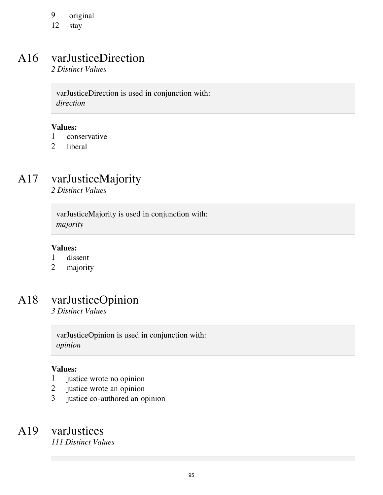9 original<br>12 stav

stay

# A16 varJusticeDirection

*2 Distinct Values*

varJusticeDirection is used in conjunction with: *direction*

### **Values:**

- 1 conservative
- 2 liberal

# A17 varJusticeMajority

*2 Distinct Values*

varJusticeMajority is used in conjunction with: *majority*

### **Values:**

- 1 dissent
- 2 majority

# A18 varJusticeOpinion

*3 Distinct Values*

varJusticeOpinion is used in conjunction with: *opinion*

### **Values:**

- 1 justice wrote no opinion
- 2 justice wrote an opinion
- 3 justice co-authored an opinion

### A19 varJustices

*111 Distinct Values*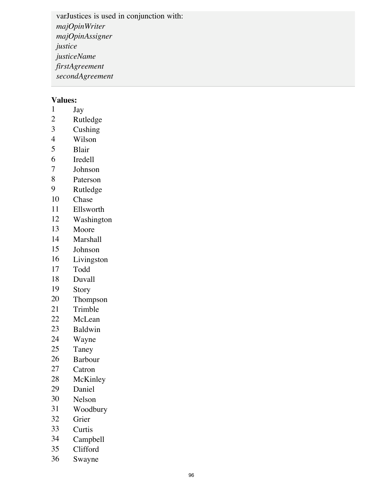varJustices is used in conjunction with: *majOpinWriter majOpinAssigner justice justiceName firstAgreement secondAgreement*

# **Values:**<br>1 **J**<sub>2</sub>

- 1 Jay<br>2 Rutl
- 2 Rutledge<br>3 Cushing
- Cushing
- 4 Wilson<br>5 Blair
- **Blair**
- Iredell
- Johnson
- Paterson
- Rutledge
- Chase
- Ellsworth
- Washington
- Moore
- Marshall
- Johnson
- Livingston
- Todd
- Duvall
- Story
- Thompson
- Trimble
- McLean
- Baldwin
- Wayne
- Taney
- Barbour
- Catron
- McKinley
- Daniel
- Nelson
- Woodbury
- Grier
- Curtis
- Campbell
- Clifford
- Swayne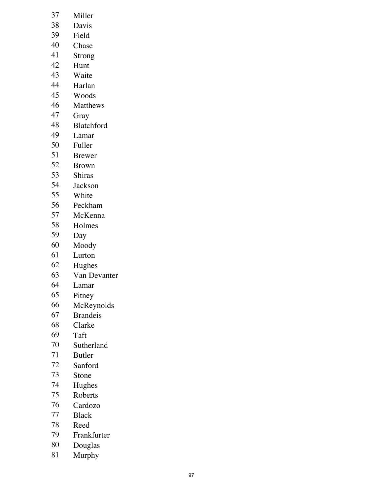- 37 Miller<br>38 Davis
- Davis
- Field
- Chase
- Strong
- Hunt
- Waite
- Harlan
- Woods
- Matthews
- Gray
- Blatchford
- Lamar
- Fuller
- Brewer
- Brown
- Shiras
- Jackson
- White
- Peckham
- 57 McKenna<br>58 Holmes
- 58 Holmes<br>59 Day
- Day
- Moody
- Lurton
- Hughes
- Van Devanter
- Lamar
- Pitney
- McReynolds
- Brandeis
- Clarke
- 69 Taft<br>70 Suth
- Sutherland
- Butler
- Sanford
- Stone
- Hughes
- Roberts
- Cardozo
- **Black**
- 78 Reed<br>79 Frank
- Frankfurter
- Douglas
- Murphy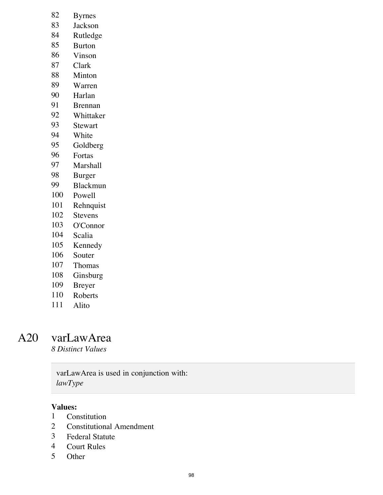- 82 Byrnes<br>83 Jackson
- **Jackson**
- Rutledge
- Burton
- Vinson
- Clark
- Minton
- Warren
- Harlan
- Brennan
- Whittaker
- Stewart
- White
- Goldberg
- Fortas
- Marshall
- Burger
- Blackmun
- Powell
- Rehnquist
- Stevens
- O'Connor
- Scalia
- Kennedy
- Souter
- Thomas
- Ginsburg
- Breyer
- Roberts
- Alito

### A20 varLawArea

*8 Distinct Values*

### varLawArea is used in conjunction with: *lawType*

- 1 Constitution<br>2 Constitutions
- **Constitutional Amendment**
- Federal Statute
- Court Rules
- Other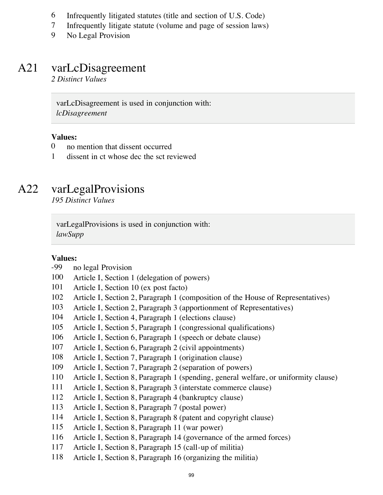- 6 Infrequently litigated statutes (title and section of U.S. Code)<br>7 Infrequently litigate statute (volume and page of session laws)
- Infrequently litigate statute (volume and page of session laws)
- No Legal Provision

# A21 varLcDisagreement

*2 Distinct Values*

varLcDisagreement is used in conjunction with: *lcDisagreement*

### **Values:**

- no mention that dissent occurred
- dissent in ct whose dec the sct reviewed

### A22 varLegalProvisions

*195 Distinct Values*

varLegalProvisions is used in conjunction with: *lawSupp*

#### **Values:**

### -99 no legal Provision

- Article I, Section 1 (delegation of powers)
- Article I, Section 10 (ex post facto)
- Article I, Section 2, Paragraph 1 (composition of the House of Representatives)
- Article I, Section 2, Paragraph 3 (apportionment of Representatives)
- Article I, Section 4, Paragraph 1 (elections clause)
- Article I, Section 5, Paragraph 1 (congressional qualifications)
- Article I, Section 6, Paragraph 1 (speech or debate clause)
- Article I, Section 6, Paragraph 2 (civil appointments)
- Article I, Section 7, Paragraph 1 (origination clause)
- Article I, Section 7, Paragraph 2 (separation of powers)
- Article I, Section 8, Paragraph 1 (spending, general welfare, or uniformity clause)
- Article I, Section 8, Paragraph 3 (interstate commerce clause)
- Article I, Section 8, Paragraph 4 (bankruptcy clause)
- Article I, Section 8, Paragraph 7 (postal power)
- Article I, Section 8, Paragraph 8 (patent and copyright clause)
- Article I, Section 8, Paragraph 11 (war power)
- Article I, Section 8, Paragraph 14 (governance of the armed forces)
- Article I, Section 8, Paragraph 15 (call-up of militia)
- Article I, Section 8, Paragraph 16 (organizing the militia)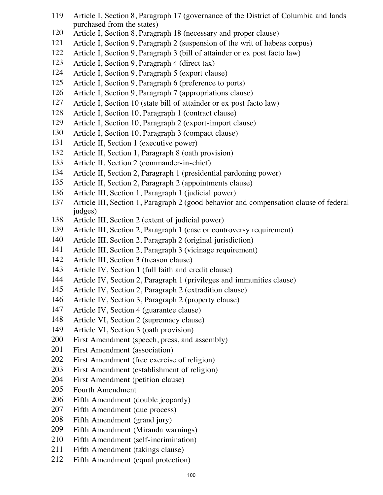- Article I, Section 8, Paragraph 17 (governance of the District of Columbia and lands purchased from the states)
- Article I, Section 8, Paragraph 18 (necessary and proper clause)
- Article I, Section 9, Paragraph 2 (suspension of the writ of habeas corpus)
- Article I, Section 9, Paragraph 3 (bill of attainder or ex post facto law)
- Article I, Section 9, Paragraph 4 (direct tax)
- Article I, Section 9, Paragraph 5 (export clause)
- Article I, Section 9, Paragraph 6 (preference to ports)
- Article I, Section 9, Paragraph 7 (appropriations clause)
- Article I, Section 10 (state bill of attainder or ex post facto law)
- Article I, Section 10, Paragraph 1 (contract clause)
- Article I, Section 10, Paragraph 2 (export-import clause)
- Article I, Section 10, Paragraph 3 (compact clause)
- Article II, Section 1 (executive power)
- Article II, Section 1, Paragraph 8 (oath provision)
- Article II, Section 2 (commander-in-chief)
- Article II, Section 2, Paragraph 1 (presidential pardoning power)
- Article II, Section 2, Paragraph 2 (appointments clause)
- Article III, Section 1, Paragraph 1 (judicial power)
- Article III, Section 1, Paragraph 2 (good behavior and compensation clause of federal judges)
- Article III, Section 2 (extent of judicial power)
- Article III, Section 2, Paragraph 1 (case or controversy requirement)
- Article III, Section 2, Paragraph 2 (original jurisdiction)
- Article III, Section 2, Paragraph 3 (vicinage requirement)
- Article III, Section 3 (treason clause)
- Article IV, Section 1 (full faith and credit clause)
- Article IV, Section 2, Paragraph 1 (privileges and immunities clause)
- Article IV, Section 2, Paragraph 2 (extradition clause)
- Article IV, Section 3, Paragraph 2 (property clause)
- Article IV, Section 4 (guarantee clause)
- Article VI, Section 2 (supremacy clause)
- Article VI, Section 3 (oath provision)
- First Amendment (speech, press, and assembly)
- First Amendment (association)
- First Amendment (free exercise of religion)
- First Amendment (establishment of religion)
- First Amendment (petition clause)
- Fourth Amendment
- Fifth Amendment (double jeopardy)
- Fifth Amendment (due process)
- Fifth Amendment (grand jury)
- Fifth Amendment (Miranda warnings)
- Fifth Amendment (self-incrimination)
- Fifth Amendment (takings clause)
- Fifth Amendment (equal protection)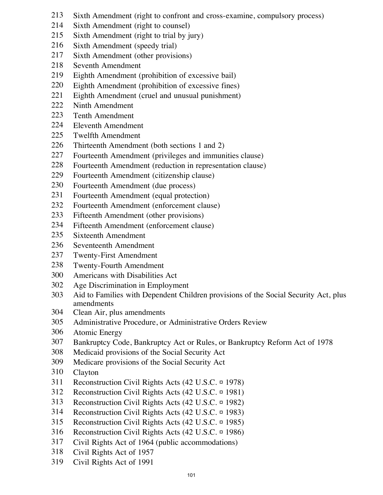- Sixth Amendment (right to confront and cross-examine, compulsory process)
- Sixth Amendment (right to counsel)
- Sixth Amendment (right to trial by jury)
- Sixth Amendment (speedy trial)
- Sixth Amendment (other provisions)
- Seventh Amendment
- Eighth Amendment (prohibition of excessive bail)
- Eighth Amendment (prohibition of excessive fines)
- Eighth Amendment (cruel and unusual punishment)
- Ninth Amendment
- Tenth Amendment
- Eleventh Amendment
- Twelfth Amendment
- Thirteenth Amendment (both sections 1 and 2)
- Fourteenth Amendment (privileges and immunities clause)
- Fourteenth Amendment (reduction in representation clause)
- Fourteenth Amendment (citizenship clause)
- Fourteenth Amendment (due process)
- Fourteenth Amendment (equal protection)
- Fourteenth Amendment (enforcement clause)
- Fifteenth Amendment (other provisions)
- Fifteenth Amendment (enforcement clause)
- Sixteenth Amendment
- Seventeenth Amendment
- Twenty-First Amendment
- Twenty-Fourth Amendment
- Americans with Disabilities Act
- Age Discrimination in Employment
- Aid to Families with Dependent Children provisions of the Social Security Act, plus amendments
- Clean Air, plus amendments
- Administrative Procedure, or Administrative Orders Review
- Atomic Energy
- Bankruptcy Code, Bankruptcy Act or Rules, or Bankruptcy Reform Act of 1978
- Medicaid provisions of the Social Security Act
- Medicare provisions of the Social Security Act
- Clayton
- Reconstruction Civil Rights Acts (42 U.S.C. ¤ 1978)
- Reconstruction Civil Rights Acts (42 U.S.C. ¤ 1981)
- Reconstruction Civil Rights Acts (42 U.S.C. ¤ 1982)
- Reconstruction Civil Rights Acts (42 U.S.C. ¤ 1983)
- Reconstruction Civil Rights Acts (42 U.S.C. ¤ 1985)
- Reconstruction Civil Rights Acts (42 U.S.C. ¤ 1986)
- Civil Rights Act of 1964 (public accommodations)
- Civil Rights Act of 1957
- Civil Rights Act of 1991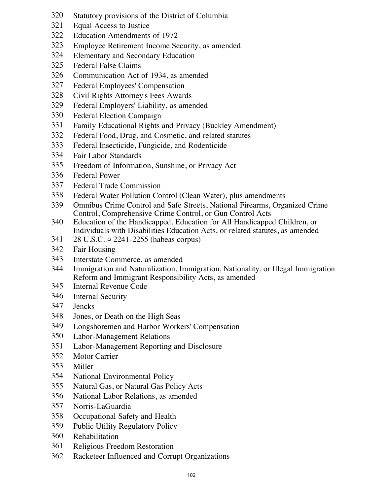- Statutory provisions of the District of Columbia
- Equal Access to Justice
- Education Amendments of 1972
- Employee Retirement Income Security, as amended
- Elementary and Secondary Education
- Federal False Claims
- Communication Act of 1934, as amended
- Federal Employees' Compensation
- Civil Rights Attorney's Fees Awards
- Federal Employers' Liability, as amended
- Federal Election Campaign
- Family Educational Rights and Privacy (Buckley Amendment)
- Federal Food, Drug, and Cosmetic, and related statutes
- Federal Insecticide, Fungicide, and Rodenticide
- Fair Labor Standards
- Freedom of Information, Sunshine, or Privacy Act
- Federal Power
- Federal Trade Commission
- Federal Water Pollution Control (Clean Water), plus amendments
- Omnibus Crime Control and Safe Streets, National Firearms, Organized Crime Control, Comprehensive Crime Control, or Gun Control Acts
- Education of the Handicapped, Education for All Handicapped Children, or Individuals with Disabilities Education Acts, or related statutes, as amended
- 28 U.S.C. ¤ 2241-2255 (habeas corpus)
- Fair Housing
- Interstate Commerce, as amended
- Immigration and Naturalization, Immigration, Nationality, or Illegal Immigration Reform and Immigrant Responsibility Acts, as amended
- Internal Revenue Code
- Internal Security
- Jencks
- Jones, or Death on the High Seas
- Longshoremen and Harbor Workers' Compensation
- Labor-Management Relations
- Labor-Management Reporting and Disclosure
- Motor Carrier
- Miller
- National Environmental Policy
- Natural Gas, or Natural Gas Policy Acts
- National Labor Relations, as amended
- Norris-LaGuardia
- Occupational Safety and Health
- Public Utility Regulatory Policy
- Rehabilitation
- Religious Freedom Restoration
- Racketeer Influenced and Corrupt Organizations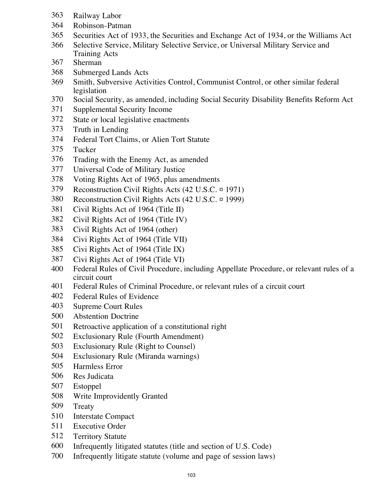- Railway Labor
- Robinson-Patman
- Securities Act of 1933, the Securities and Exchange Act of 1934, or the Williams Act
- Selective Service, Military Selective Service, or Universal Military Service and Training Acts
- Sherman
- Submerged Lands Acts
- Smith, Subversive Activities Control, Communist Control, or other similar federal legislation
- Social Security, as amended, including Social Security Disability Benefits Reform Act
- Supplemental Security Income
- State or local legislative enactments
- Truth in Lending
- Federal Tort Claims, or Alien Tort Statute
- Tucker
- Trading with the Enemy Act, as amended
- Universal Code of Military Justice
- Voting Rights Act of 1965, plus amendments
- Reconstruction Civil Rights Acts (42 U.S.C. ¤ 1971)
- Reconstruction Civil Rights Acts (42 U.S.C. ¤ 1999)
- Civil Rights Act of 1964 (Title II)
- Civil Rights Act of 1964 (Title IV)
- Civil Rights Act of 1964 (other)
- Civi Rights Act of 1964 (Title VII)
- Civi Rights Act of 1964 (Title IX)
- Civi Rights Act of 1964 (Title VI)
- Federal Rules of Civil Procedure, including Appellate Procedure, or relevant rules of a circuit court
- Federal Rules of Criminal Procedure, or relevant rules of a circuit court
- Federal Rules of Evidence
- Supreme Court Rules
- Abstention Doctrine
- Retroactive application of a constitutional right
- Exclusionary Rule (Fourth Amendment)
- Exclusionary Rule (Right to Counsel)
- Exclusionary Rule (Miranda warnings)
- Harmless Error
- Res Judicata
- Estoppel
- Write Improvidently Granted
- Treaty
- Interstate Compact
- Executive Order
- Territory Statute
- Infrequently litigated statutes (title and section of U.S. Code)
- Infrequently litigate statute (volume and page of session laws)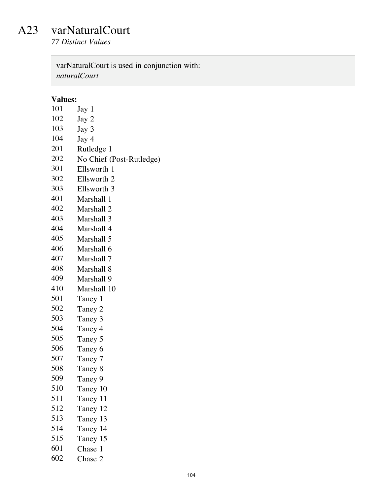### A23 varNaturalCourt

*77 Distinct Values*

varNaturalCourt is used in conjunction with: *naturalCourt*

- Jay 1
- Jay 2
- Jay 3
- Jay 4
- Rutledge 1
- 202 No Chief (Post-Rutledge)<br>301 Ellsworth 1
- Ellsworth 1
- Ellsworth 2
- Ellsworth 3
- Marshall 1
- Marshall 2
- Marshall 3
- Marshall 4
- Marshall 5
- Marshall 6
- Marshall 7
- Marshall 8
- Marshall 9
- Marshall 10
- Taney 1
- Taney 2
- 503 Taney 3<br>504 Taney 4
- Taney 4
- Taney 5
- Taney 6
- Taney 7
- Taney 8
- Taney 9
- Taney 10
- Taney 11
- Taney 12
- Taney 13
- Taney 14
- Taney 15
- Chase 1
- Chase 2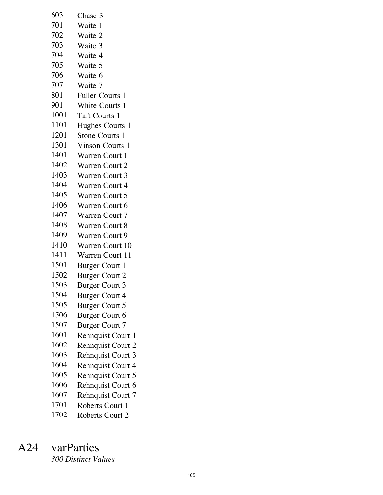| 603  | Chase 3                  |
|------|--------------------------|
| 701  | Waite 1                  |
| 702  | Waite 2                  |
| 703  | Waite 3                  |
| 704  | Waite 4                  |
| 705  | Waite 5                  |
| 706  | Waite 6                  |
| 707  | Waite 7                  |
| 801  | Fuller Courts 1          |
| 901  | White Courts 1           |
| 1001 | Taft Courts 1            |
| 1101 | Hughes Courts 1          |
| 1201 | Stone Courts 1           |
| 1301 | <b>Vinson Courts 1</b>   |
| 1401 | Warren Court 1           |
| 1402 | <b>Warren Court 2</b>    |
| 1403 | Warren Court 3           |
| 1404 | <b>Warren Court 4</b>    |
| 1405 | Warren Court 5           |
| 1406 | Warren Court 6           |
| 1407 | Warren Court 7           |
| 1408 | <b>Warren Court 8</b>    |
| 1409 | Warren Court 9           |
| 1410 | <b>Warren Court 10</b>   |
| 1411 | <b>Warren Court 11</b>   |
| 1501 | <b>Burger Court 1</b>    |
| 1502 | <b>Burger Court 2</b>    |
| 1503 | <b>Burger Court 3</b>    |
| 1504 | <b>Burger Court 4</b>    |
| 1505 | <b>Burger Court 5</b>    |
| 1506 | <b>Burger Court 6</b>    |
| 1507 | <b>Burger Court 7</b>    |
| 1601 | Rehnquist Court 1        |
| 1602 | <b>Rehnquist Court 2</b> |
| 1603 | <b>Rehnquist Court 3</b> |
| 1604 | <b>Rehnquist Court 4</b> |
| 1605 | <b>Rehnquist Court 5</b> |
| 1606 | Rehnquist Court 6        |
| 1607 | <b>Rehnquist Court 7</b> |
| 1701 | Roberts Court 1          |
| 1702 | Roberts Court 2          |

# A24 varParties

*300 Distinct Values*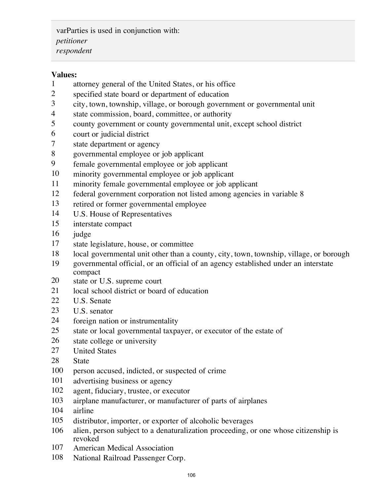varParties is used in conjunction with: *petitioner respondent*

- attorney general of the United States, or his office
- specified state board or department of education
- city, town, township, village, or borough government or governmental unit
- state commission, board, committee, or authority
- county government or county governmental unit, except school district
- court or judicial district
- state department or agency
- governmental employee or job applicant
- female governmental employee or job applicant
- minority governmental employee or job applicant
- minority female governmental employee or job applicant
- federal government corporation not listed among agencies in variable 8
- retired or former governmental employee
- U.S. House of Representatives
- interstate compact
- judge
- state legislature, house, or committee
- local governmental unit other than a county, city, town, township, village, or borough
- governmental official, or an official of an agency established under an interstate compact
- state or U.S. supreme court
- 21 local school district or board of education
- U.S. Senate
- U.S. senator
- foreign nation or instrumentality
- state or local governmental taxpayer, or executor of the estate of
- state college or university
- United States
- State
- person accused, indicted, or suspected of crime
- advertising business or agency
- agent, fiduciary, trustee, or executor
- airplane manufacturer, or manufacturer of parts of airplanes
- airline
- distributor, importer, or exporter of alcoholic beverages
- alien, person subject to a denaturalization proceeding, or one whose citizenship is revoked
- American Medical Association
- National Railroad Passenger Corp.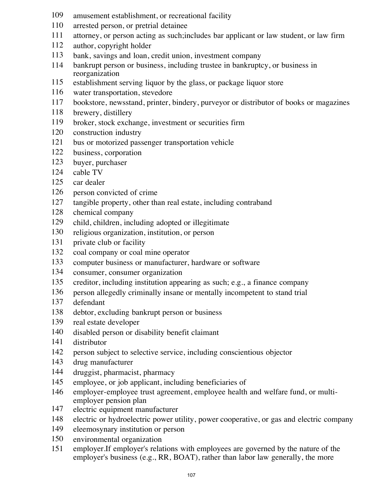- amusement establishment, or recreational facility
- arrested person, or pretrial detainee
- attorney, or person acting as such;includes bar applicant or law student, or law firm
- author, copyright holder
- bank, savings and loan, credit union, investment company
- bankrupt person or business, including trustee in bankruptcy, or business in reorganization
- establishment serving liquor by the glass, or package liquor store
- water transportation, stevedore
- bookstore, newsstand, printer, bindery, purveyor or distributor of books or magazines
- brewery, distillery
- broker, stock exchange, investment or securities firm
- construction industry
- bus or motorized passenger transportation vehicle
- business, corporation
- buyer, purchaser
- cable TV
- car dealer
- person convicted of crime
- tangible property, other than real estate, including contraband
- chemical company
- child, children, including adopted or illegitimate
- religious organization, institution, or person
- private club or facility
- coal company or coal mine operator
- computer business or manufacturer, hardware or software
- consumer, consumer organization
- creditor, including institution appearing as such; e.g., a finance company
- person allegedly criminally insane or mentally incompetent to stand trial
- defendant
- debtor, excluding bankrupt person or business
- real estate developer
- disabled person or disability benefit claimant
- distributor
- person subject to selective service, including conscientious objector
- drug manufacturer
- druggist, pharmacist, pharmacy
- employee, or job applicant, including beneficiaries of
- employer-employee trust agreement, employee health and welfare fund, or multiemployer pension plan
- electric equipment manufacturer
- electric or hydroelectric power utility, power cooperative, or gas and electric company
- eleemosynary institution or person
- environmental organization
- employer.If employer's relations with employees are governed by the nature of the employer's business (e.g., RR, BOAT), rather than labor law generally, the more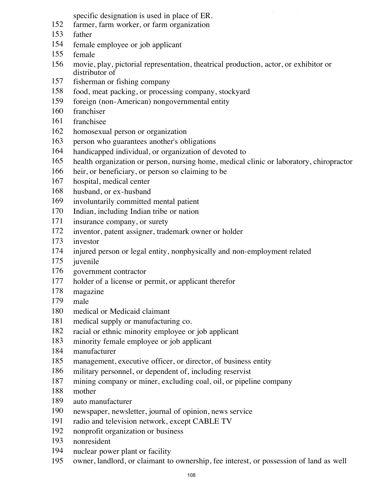employer's business (e.g., RR, BOAT), rather than labor law generally, the more specific designation is used in place of ER.

- farmer, farm worker, or farm organization
- father
- female employee or job applicant
- female
- movie, play, pictorial representation, theatrical production, actor, or exhibitor or distributor of
- fisherman or fishing company
- food, meat packing, or processing company, stockyard
- foreign (non-American) nongovernmental entity
- franchiser
- franchisee
- homosexual person or organization
- person who guarantees another's obligations
- handicapped individual, or organization of devoted to
- health organization or person, nursing home, medical clinic or laboratory, chiropractor
- heir, or beneficiary, or person so claiming to be
- hospital, medical center
- husband, or ex-husband
- involuntarily committed mental patient
- Indian, including Indian tribe or nation
- insurance company, or surety
- inventor, patent assigner, trademark owner or holder
- investor
- injured person or legal entity, nonphysically and non-employment related
- juvenile
- government contractor
- holder of a license or permit, or applicant therefor
- magazine
- male
- medical or Medicaid claimant
- medical supply or manufacturing co.
- racial or ethnic minority employee or job applicant
- minority female employee or job applicant
- manufacturer
- management, executive officer, or director, of business entity
- military personnel, or dependent of, including reservist
- mining company or miner, excluding coal, oil, or pipeline company
- mother
- auto manufacturer
- newspaper, newsletter, journal of opinion, news service
- radio and television network, except CABLE TV
- nonprofit organization or business
- nonresident
- nuclear power plant or facility
- owner, landlord, or claimant to ownership, fee interest, or possession of land as well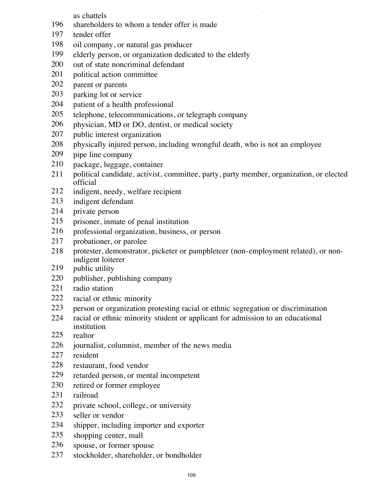owner, landlord, or claimant to ownership, fee interest, or possession of land as well as chattels

- shareholders to whom a tender offer is made
- tender offer
- oil company, or natural gas producer
- elderly person, or organization dedicated to the elderly
- 200 out of state noncriminal defendant
- political action committee
- parent or parents
- parking lot or service
- patient of a health professional
- telephone, telecommunications, or telegraph company
- physician, MD or DO, dentist, or medical society
- public interest organization
- physically injured person, including wrongful death, who is not an employee
- pipe line company
- package, luggage, container
- political candidate, activist, committee, party, party member, organization, or elected official
- indigent, needy, welfare recipient
- indigent defendant
- private person
- prisoner, inmate of penal institution
- professional organization, business, or person
- probationer, or parolee
- protester, demonstrator, picketer or pamphleteer (non-employment related), or nonindigent loiterer
- 219 public utility
- publisher, publishing company
- radio station
- racial or ethnic minority
- person or organization protesting racial or ethnic segregation or discrimination
- racial or ethnic minority student or applicant for admission to an educational institution
- realtor
- journalist, columnist, member of the news media
- resident
- restaurant, food vendor
- retarded person, or mental incompetent
- retired or former employee
- railroad
- private school, college, or university
- seller or vendor
- shipper, including importer and exporter
- shopping center, mall
- spouse, or former spouse
- stockholder, shareholder, or bondholder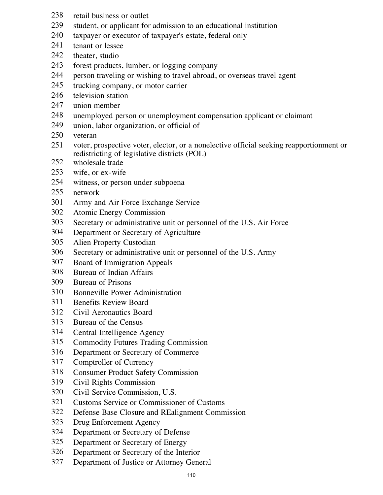- retail business or outlet
- student, or applicant for admission to an educational institution
- taxpayer or executor of taxpayer's estate, federal only
- tenant or lessee
- theater, studio
- forest products, lumber, or logging company
- person traveling or wishing to travel abroad, or overseas travel agent
- trucking company, or motor carrier
- 246 television station
- union member
- unemployed person or unemployment compensation applicant or claimant
- union, labor organization, or official of
- veteran
- voter, prospective voter, elector, or a nonelective official seeking reapportionment or redistricting of legislative districts (POL)
- 252 wholesale trade
- wife, or ex-wife
- witness, or person under subpoena
- network
- Army and Air Force Exchange Service
- Atomic Energy Commission
- Secretary or administrative unit or personnel of the U.S. Air Force
- Department or Secretary of Agriculture
- Alien Property Custodian
- Secretary or administrative unit or personnel of the U.S. Army
- Board of Immigration Appeals
- Bureau of Indian Affairs
- Bureau of Prisons
- Bonneville Power Administration
- Benefits Review Board
- Civil Aeronautics Board
- Bureau of the Census
- Central Intelligence Agency
- Commodity Futures Trading Commission
- Department or Secretary of Commerce
- Comptroller of Currency
- Consumer Product Safety Commission
- Civil Rights Commission
- Civil Service Commission, U.S.
- Customs Service or Commissioner of Customs
- Defense Base Closure and REalignment Commission
- Drug Enforcement Agency
- Department or Secretary of Defense
- Department or Secretary of Energy
- Department or Secretary of the Interior
- Department of Justice or Attorney General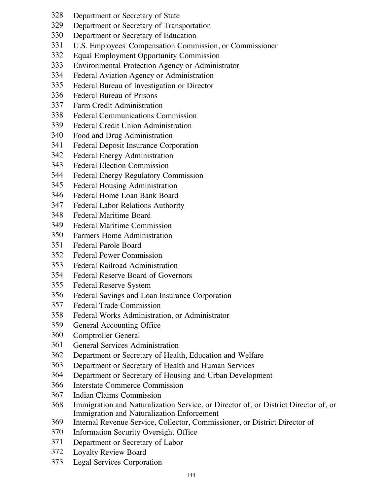- Department or Secretary of State
- Department or Secretary of Transportation
- Department or Secretary of Education
- U.S. Employees' Compensation Commission, or Commissioner
- Equal Employment Opportunity Commission
- Environmental Protection Agency or Administrator
- Federal Aviation Agency or Administration
- Federal Bureau of Investigation or Director
- Federal Bureau of Prisons
- Farm Credit Administration
- Federal Communications Commission
- Federal Credit Union Administration
- Food and Drug Administration
- Federal Deposit Insurance Corporation
- Federal Energy Administration
- Federal Election Commission
- Federal Energy Regulatory Commission
- Federal Housing Administration
- Federal Home Loan Bank Board
- Federal Labor Relations Authority
- Federal Maritime Board
- Federal Maritime Commission
- Farmers Home Administration
- Federal Parole Board
- Federal Power Commission
- Federal Railroad Administration
- Federal Reserve Board of Governors
- Federal Reserve System
- Federal Savings and Loan Insurance Corporation
- Federal Trade Commission
- Federal Works Administration, or Administrator
- General Accounting Office
- Comptroller General
- General Services Administration
- Department or Secretary of Health, Education and Welfare
- Department or Secretary of Health and Human Services
- Department or Secretary of Housing and Urban Development
- Interstate Commerce Commission
- Indian Claims Commission
- Immigration and Naturalization Service, or Director of, or District Director of, or Immigration and Naturalization Enforcement
- Internal Revenue Service, Collector, Commissioner, or District Director of
- Information Security Oversight Office
- Department or Secretary of Labor
- Loyalty Review Board
- Legal Services Corporation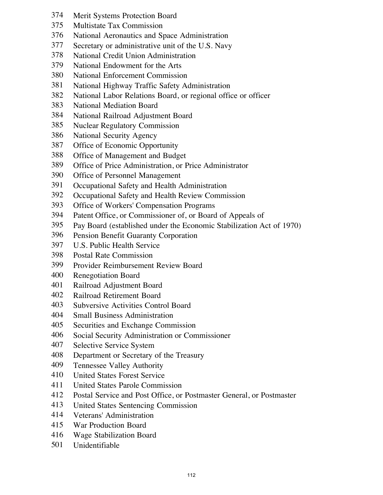- Merit Systems Protection Board
- Multistate Tax Commission
- National Aeronautics and Space Administration
- Secretary or administrative unit of the U.S. Navy
- National Credit Union Administration
- National Endowment for the Arts
- National Enforcement Commission
- National Highway Traffic Safety Administration
- National Labor Relations Board, or regional office or officer
- National Mediation Board
- National Railroad Adjustment Board
- Nuclear Regulatory Commission
- National Security Agency
- Office of Economic Opportunity
- Office of Management and Budget
- Office of Price Administration, or Price Administrator
- Office of Personnel Management
- Occupational Safety and Health Administration
- Occupational Safety and Health Review Commission
- Office of Workers' Compensation Programs
- Patent Office, or Commissioner of, or Board of Appeals of
- Pay Board (established under the Economic Stabilization Act of 1970)
- Pension Benefit Guaranty Corporation
- U.S. Public Health Service
- Postal Rate Commission
- Provider Reimbursement Review Board
- Renegotiation Board
- Railroad Adjustment Board
- Railroad Retirement Board
- Subversive Activities Control Board
- Small Business Administration
- Securities and Exchange Commission
- Social Security Administration or Commissioner
- Selective Service System
- Department or Secretary of the Treasury
- Tennessee Valley Authority
- United States Forest Service
- United States Parole Commission
- Postal Service and Post Office, or Postmaster General, or Postmaster
- United States Sentencing Commission
- Veterans' Administration
- War Production Board
- Wage Stabilization Board
- Unidentifiable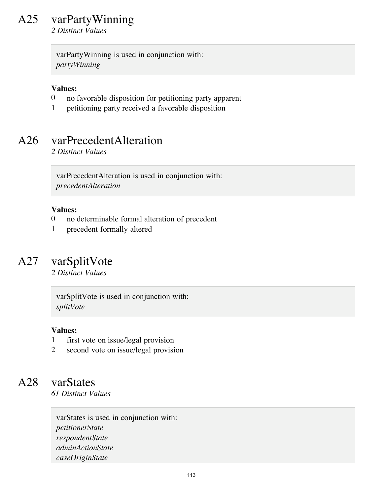# A25 varPartyWinning

*2 Distinct Values*

varPartyWinning is used in conjunction with: *partyWinning*

## **Values:**

- 0 no favorable disposition for petitioning party apparent
- 1 petitioning party received a favorable disposition

# A26 varPrecedentAlteration

*2 Distinct Values*

varPrecedentAlteration is used in conjunction with: *precedentAlteration*

#### **Values:**

- 0 no determinable formal alteration of precedent
- 1 precedent formally altered

# A27 varSplitVote

*2 Distinct Values*

varSplitVote is used in conjunction with: *splitVote*

### **Values:**

- 1 first vote on issue/legal provision
- 2 second vote on issue/legal provision

## A28 varStates

*61 Distinct Values*

varStates is used in conjunction with: *petitionerState respondentState adminActionState caseOriginState*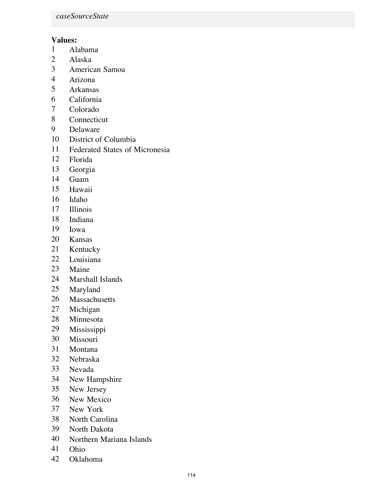# **Values:**

- Alabama
- Alaska
- American Samoa
- Arizona
- Arkansas
- California
- Colorado
- Connecticut
- Delaware
- District of Columbia
- Federated States of Micronesia
- Florida
- Georgia
- Guam
- Hawaii
- Idaho
- Illinois
- Indiana
- Iowa
- Kansas
- Kentucky
- Louisiana
- Maine
- Marshall Islands
- Maryland
- Massachusetts
- Michigan
- Minnesota
- Mississippi
- Missouri
- Montana
- Nebraska
- Nevada
- New Hampshire
- New Jersey
- New Mexico
- New York
- North Carolina
- North Dakota
- Northern Mariana Islands
- Ohio
- Oklahoma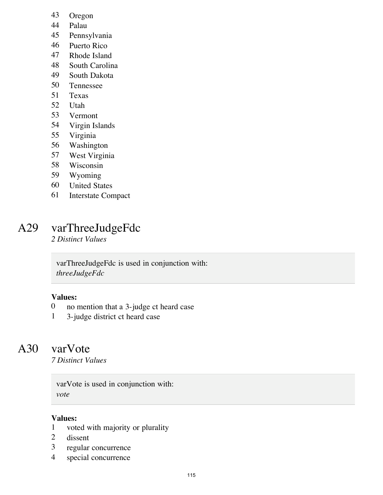- Oregon
- Palau
- Pennsylvania
- Puerto Rico
- Rhode Island
- South Carolina
- South Dakota
- 50 Tennessee<br>51 Texas
- **Texas**
- Utah
- Vermont
- Virgin Islands
- Virginia
- Washington
- West Virginia
- Wisconsin
- Wyoming
- United States
- Interstate Compact

## A29 varThreeJudgeFdc

*2 Distinct Values*

varThreeJudgeFdc is used in conjunction with: *threeJudgeFdc*

## **Values:**

- no mention that a 3-judge ct heard case
- 3-judge district ct heard case

## A30 varVote

*7 Distinct Values*

varVote is used in conjunction with: *vote*

### **Values:**

- voted with majority or plurality
- dissent
- regular concurrence
- special concurrence